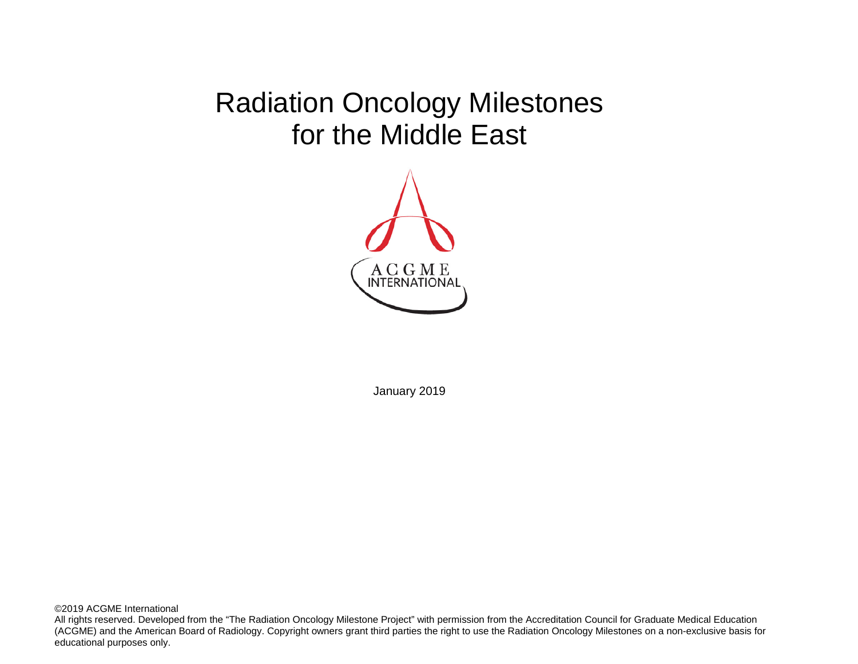# Radiation Oncology Milestones for the Middle East



January 2019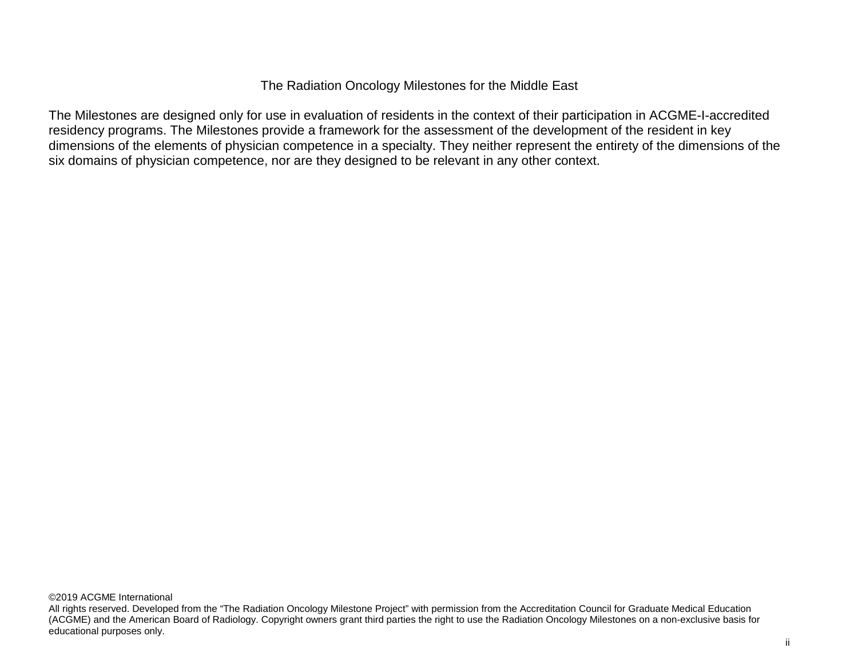# The Radiation Oncology Milestones for the Middle East

The Milestones are designed only for use in evaluation of residents in the context of their participation in ACGME-I-accredited residency programs. The Milestones provide a framework for the assessment of the development of the resident in key dimensions of the elements of physician competence in a specialty. They neither represent the entirety of the dimensions of the six domains of physician competence, nor are they designed to be relevant in any other context.

All rights reserved. Developed from the "The Radiation Oncology Milestone Project" with permission from the Accreditation Council for Graduate Medical Education (ACGME) and the American Board of Radiology. Copyright owners grant third parties the right to use the Radiation Oncology Milestones on a non-exclusive basis for educational purposes only.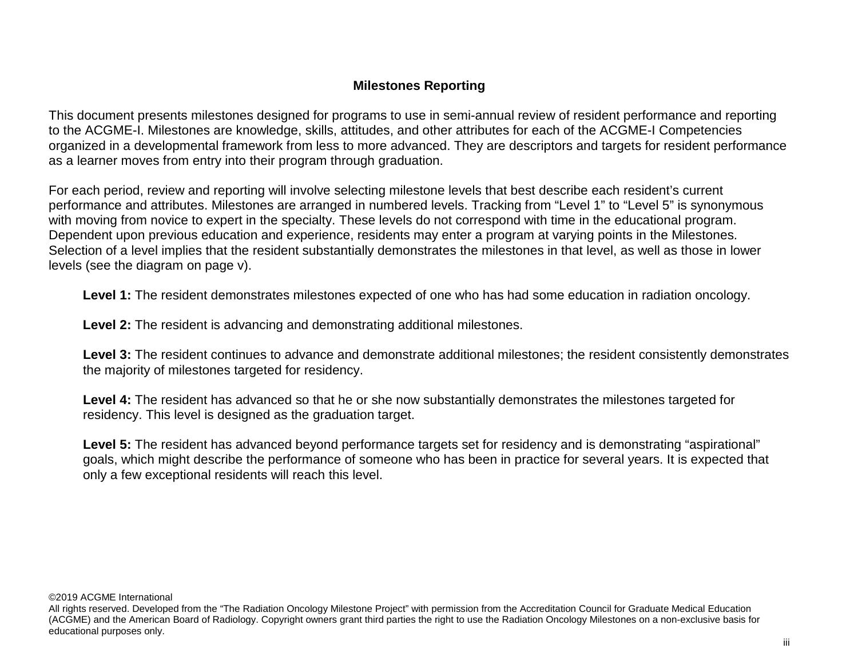# **Milestones Reporting**

This document presents milestones designed for programs to use in semi-annual review of resident performance and reporting to the ACGME-I. Milestones are knowledge, skills, attitudes, and other attributes for each of the ACGME-I Competencies organized in a developmental framework from less to more advanced. They are descriptors and targets for resident performance as a learner moves from entry into their program through graduation.

For each period, review and reporting will involve selecting milestone levels that best describe each resident's current performance and attributes. Milestones are arranged in numbered levels. Tracking from "Level 1" to "Level 5" is synonymous with moving from novice to expert in the specialty. These levels do not correspond with time in the educational program. Dependent upon previous education and experience, residents may enter a program at varying points in the Milestones. Selection of a level implies that the resident substantially demonstrates the milestones in that level, as well as those in lower levels (see the diagram on page v).

**Level 1:** The resident demonstrates milestones expected of one who has had some education in radiation oncology.

**Level 2:** The resident is advancing and demonstrating additional milestones.

**Level 3:** The resident continues to advance and demonstrate additional milestones; the resident consistently demonstrates the majority of milestones targeted for residency.

**Level 4:** The resident has advanced so that he or she now substantially demonstrates the milestones targeted for residency. This level is designed as the graduation target.

Level 5: The resident has advanced beyond performance targets set for residency and is demonstrating "aspirational" goals, which might describe the performance of someone who has been in practice for several years. It is expected that only a few exceptional residents will reach this level.

©2019 ACGME International

All rights reserved. Developed from the "The Radiation Oncology Milestone Project" with permission from the Accreditation Council for Graduate Medical Education (ACGME) and the American Board of Radiology. Copyright owners grant third parties the right to use the Radiation Oncology Milestones on a non-exclusive basis for educational purposes only.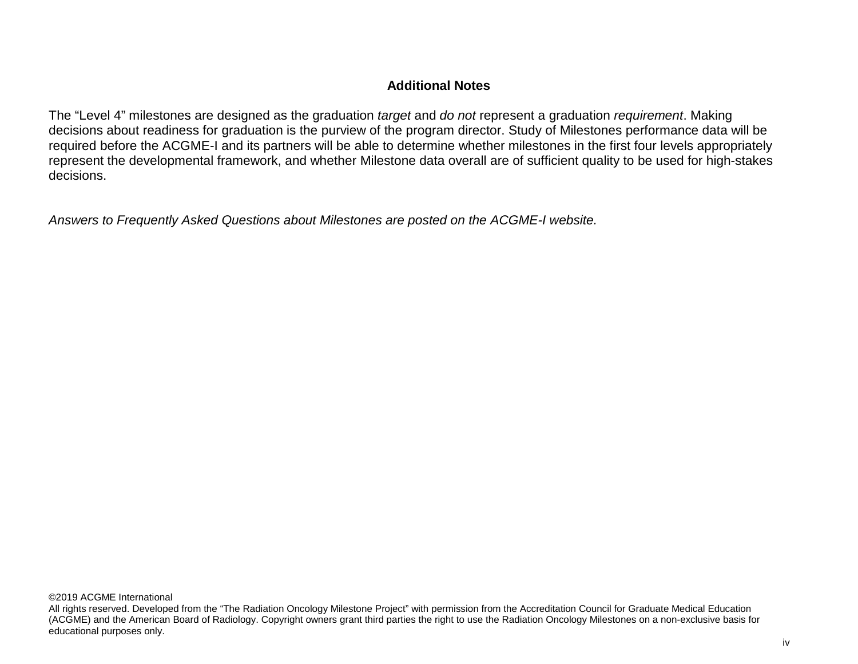# **Additional Notes**

The "Level 4" milestones are designed as the graduation *target* and *do not* represent a graduation *requirement*. Making decisions about readiness for graduation is the purview of the program director. Study of Milestones performance data will be required before the ACGME-I and its partners will be able to determine whether milestones in the first four levels appropriately represent the developmental framework, and whether Milestone data overall are of sufficient quality to be used for high-stakes decisions.

*Answers to Frequently Asked Questions about Milestones are posted on the ACGME-I website.*

©2019 ACGME International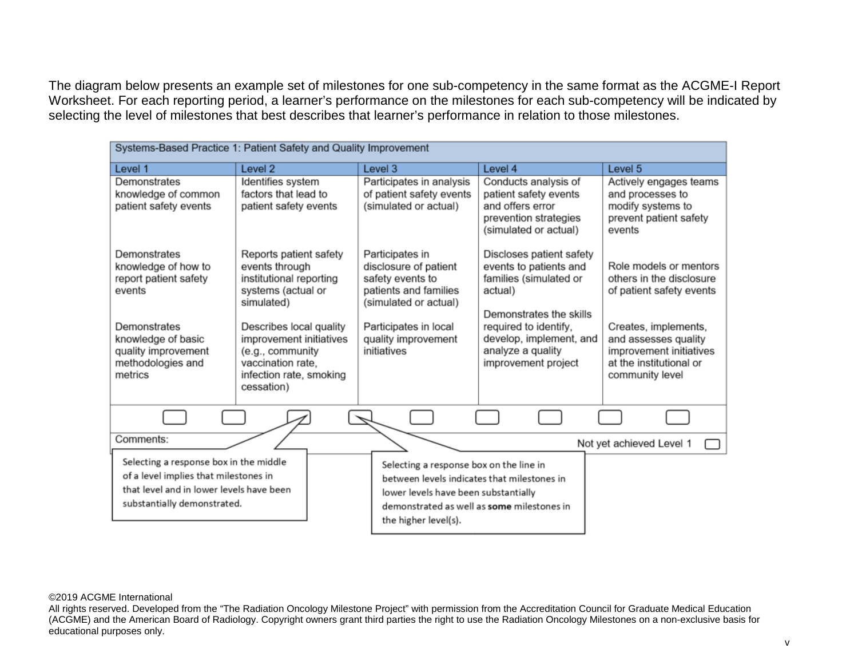The diagram below presents an example set of milestones for one sub-competency in the same format as the ACGME-I Report Worksheet. For each reporting period, a learner's performance on the milestones for each sub-competency will be indicated by selecting the level of milestones that best describes that learner's performance in relation to those milestones.

| Systems-Based Practice 1: Patient Safety and Quality Improvement                                                                                           |                                                                                                                                      |                                                                                                                                                                                                      |                                                                                                                     |                                                                                                                       |  |  |  |
|------------------------------------------------------------------------------------------------------------------------------------------------------------|--------------------------------------------------------------------------------------------------------------------------------------|------------------------------------------------------------------------------------------------------------------------------------------------------------------------------------------------------|---------------------------------------------------------------------------------------------------------------------|-----------------------------------------------------------------------------------------------------------------------|--|--|--|
| Level 1                                                                                                                                                    | Level <sub>2</sub>                                                                                                                   | Level 3                                                                                                                                                                                              | Level 4                                                                                                             | Level 5                                                                                                               |  |  |  |
| Demonstrates<br>knowledge of common<br>patient safety events                                                                                               | Identifies system<br>factors that lead to<br>patient safety events                                                                   | Participates in analysis<br>of patient safety events<br>(simulated or actual)                                                                                                                        | Conducts analysis of<br>patient safety events<br>and offers error<br>prevention strategies<br>(simulated or actual) | Actively engages teams<br>and processes to<br>modify systems to<br>prevent patient safety<br>events                   |  |  |  |
| Demonstrates<br>knowledge of how to<br>report patient safety<br>events                                                                                     | Reports patient safety<br>events through<br>institutional reporting<br>systems (actual or<br>simulated)                              | Participates in<br>disclosure of patient<br>safety events to<br>patients and families<br>(simulated or actual)                                                                                       | Discloses patient safety<br>events to patients and<br>families (simulated or<br>actual)<br>Demonstrates the skills  | Role models or mentors<br>others in the disclosure<br>of patient safety events                                        |  |  |  |
| Demonstrates<br>knowledge of basic<br>quality improvement<br>methodologies and<br>metrics                                                                  | Describes local quality<br>improvement initiatives<br>(e.g., community<br>vaccination rate,<br>infection rate, smoking<br>cessation) | Participates in local<br>quality improvement<br>initiatives                                                                                                                                          | required to identify,<br>develop, implement, and<br>analyze a quality<br>improvement project                        | Creates, implements,<br>and assesses quality<br>improvement initiatives<br>at the institutional or<br>community level |  |  |  |
|                                                                                                                                                            |                                                                                                                                      |                                                                                                                                                                                                      |                                                                                                                     |                                                                                                                       |  |  |  |
| Comments:                                                                                                                                                  |                                                                                                                                      |                                                                                                                                                                                                      |                                                                                                                     | Not yet achieved Level 1                                                                                              |  |  |  |
| Selecting a response box in the middle<br>of a level implies that milestones in<br>that level and in lower levels have been<br>substantially demonstrated. |                                                                                                                                      | Selecting a response box on the line in<br>between levels indicates that milestones in<br>lower levels have been substantially<br>demonstrated as well as some milestones in<br>the higher level(s). |                                                                                                                     |                                                                                                                       |  |  |  |

#### ©2019 ACGME International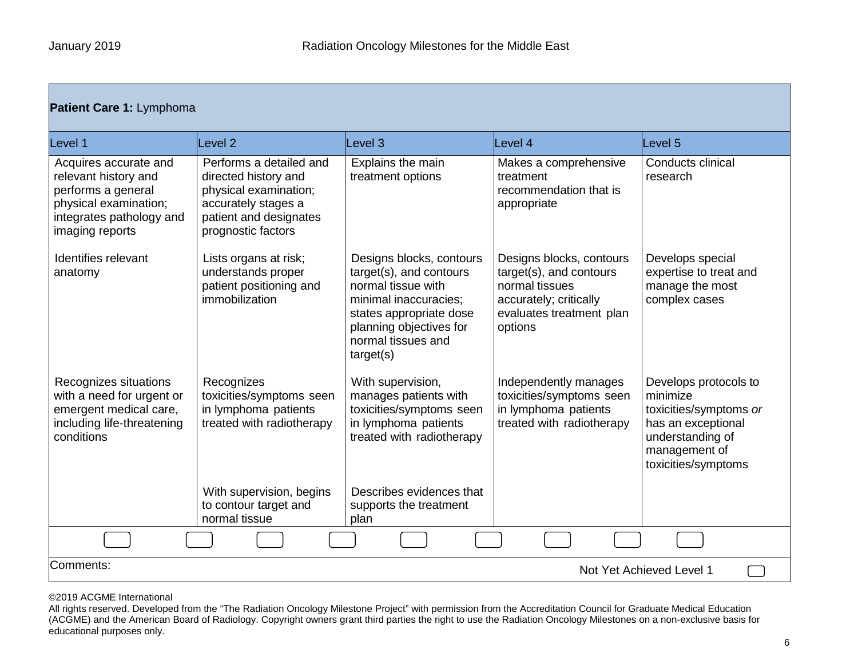| Patient Care 1: Lymphoma                                                                                                                    |                                                                                                                                                 |                                                                                                                                                                                             |                                                                                                                                        |                                                                                                                                               |  |  |
|---------------------------------------------------------------------------------------------------------------------------------------------|-------------------------------------------------------------------------------------------------------------------------------------------------|---------------------------------------------------------------------------------------------------------------------------------------------------------------------------------------------|----------------------------------------------------------------------------------------------------------------------------------------|-----------------------------------------------------------------------------------------------------------------------------------------------|--|--|
| Level 1                                                                                                                                     | Level <sub>2</sub>                                                                                                                              | Level 3                                                                                                                                                                                     | Level 4                                                                                                                                | Level 5                                                                                                                                       |  |  |
| Acquires accurate and<br>relevant history and<br>performs a general<br>physical examination;<br>integrates pathology and<br>imaging reports | Performs a detailed and<br>directed history and<br>physical examination;<br>accurately stages a<br>patient and designates<br>prognostic factors | Explains the main<br>treatment options                                                                                                                                                      | Makes a comprehensive<br>treatment<br>recommendation that is<br>appropriate                                                            | Conducts clinical<br>research                                                                                                                 |  |  |
| Identifies relevant<br>anatomy                                                                                                              | Lists organs at risk;<br>understands proper<br>patient positioning and<br>immobilization                                                        | Designs blocks, contours<br>target(s), and contours<br>normal tissue with<br>minimal inaccuracies;<br>states appropriate dose<br>planning objectives for<br>normal tissues and<br>target(s) | Designs blocks, contours<br>target(s), and contours<br>normal tissues<br>accurately; critically<br>evaluates treatment plan<br>options | Develops special<br>expertise to treat and<br>manage the most<br>complex cases                                                                |  |  |
| Recognizes situations<br>with a need for urgent or<br>emergent medical care,<br>including life-threatening<br>conditions                    | Recognizes<br>toxicities/symptoms seen<br>in lymphoma patients<br>treated with radiotherapy                                                     | With supervision,<br>manages patients with<br>toxicities/symptoms seen<br>in lymphoma patients<br>treated with radiotherapy                                                                 | Independently manages<br>toxicities/symptoms seen<br>in lymphoma patients<br>treated with radiotherapy                                 | Develops protocols to<br>minimize<br>toxicities/symptoms or<br>has an exceptional<br>understanding of<br>management of<br>toxicities/symptoms |  |  |
|                                                                                                                                             | With supervision, begins<br>to contour target and<br>normal tissue                                                                              | Describes evidences that<br>supports the treatment<br>plan                                                                                                                                  |                                                                                                                                        |                                                                                                                                               |  |  |
|                                                                                                                                             |                                                                                                                                                 |                                                                                                                                                                                             |                                                                                                                                        |                                                                                                                                               |  |  |
| Comments:<br>Not Yet Achieved Level 1                                                                                                       |                                                                                                                                                 |                                                                                                                                                                                             |                                                                                                                                        |                                                                                                                                               |  |  |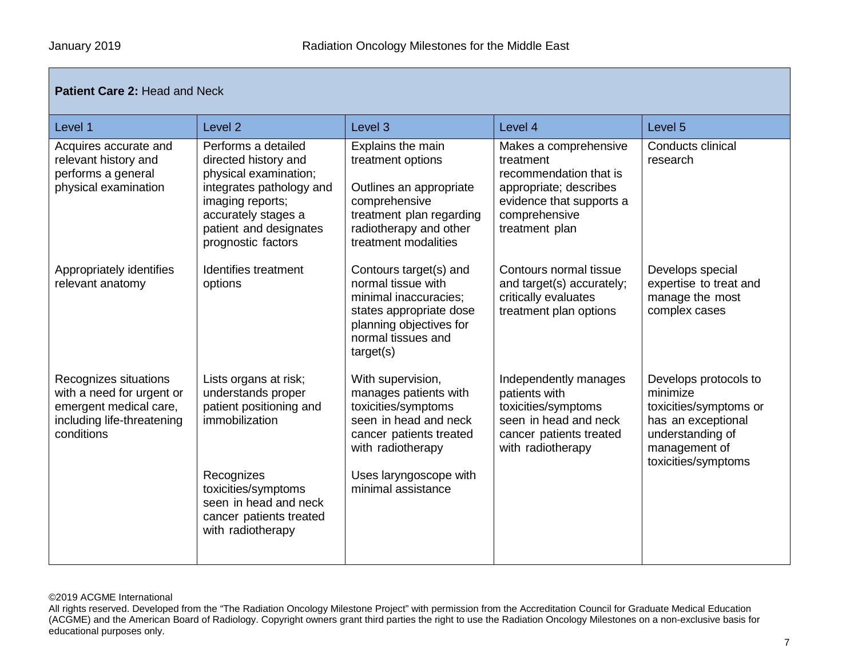## **Patient Care 2: Head and Neck**

| Level 1                                                                                                                  | Level <sub>2</sub>                                                                                                                                                                                     | Level 3                                                                                                                                                                                    | Level 4                                                                                                                                               | Level 5                                                                                                                                       |
|--------------------------------------------------------------------------------------------------------------------------|--------------------------------------------------------------------------------------------------------------------------------------------------------------------------------------------------------|--------------------------------------------------------------------------------------------------------------------------------------------------------------------------------------------|-------------------------------------------------------------------------------------------------------------------------------------------------------|-----------------------------------------------------------------------------------------------------------------------------------------------|
| Acquires accurate and<br>relevant history and<br>performs a general<br>physical examination                              | Performs a detailed<br>directed history and<br>physical examination;<br>integrates pathology and<br>imaging reports;<br>accurately stages a<br>patient and designates<br>prognostic factors            | Explains the main<br>treatment options<br>Outlines an appropriate<br>comprehensive<br>treatment plan regarding<br>radiotherapy and other<br>treatment modalities                           | Makes a comprehensive<br>treatment<br>recommendation that is<br>appropriate; describes<br>evidence that supports a<br>comprehensive<br>treatment plan | Conducts clinical<br>research                                                                                                                 |
| Appropriately identifies<br>relevant anatomy                                                                             | Identifies treatment<br>options                                                                                                                                                                        | Contours target(s) and<br>normal tissue with<br>minimal inaccuracies;<br>states appropriate dose<br>planning objectives for<br>normal tissues and<br>target(s)                             | Contours normal tissue<br>and target(s) accurately;<br>critically evaluates<br>treatment plan options                                                 | Develops special<br>expertise to treat and<br>manage the most<br>complex cases                                                                |
| Recognizes situations<br>with a need for urgent or<br>emergent medical care,<br>including life-threatening<br>conditions | Lists organs at risk;<br>understands proper<br>patient positioning and<br>immobilization<br>Recognizes<br>toxicities/symptoms<br>seen in head and neck<br>cancer patients treated<br>with radiotherapy | With supervision,<br>manages patients with<br>toxicities/symptoms<br>seen in head and neck<br>cancer patients treated<br>with radiotherapy<br>Uses laryngoscope with<br>minimal assistance | Independently manages<br>patients with<br>toxicities/symptoms<br>seen in head and neck<br>cancer patients treated<br>with radiotherapy                | Develops protocols to<br>minimize<br>toxicities/symptoms or<br>has an exceptional<br>understanding of<br>management of<br>toxicities/symptoms |

#### ©2019 ACGME International

All rights reserved. Developed from the "The Radiation Oncology Milestone Project" with permission from the Accreditation Council for Graduate Medical Education (ACGME) and the American Board of Radiology. Copyright owners grant third parties the right to use the Radiation Oncology Milestones on a non-exclusive basis for educational purposes only.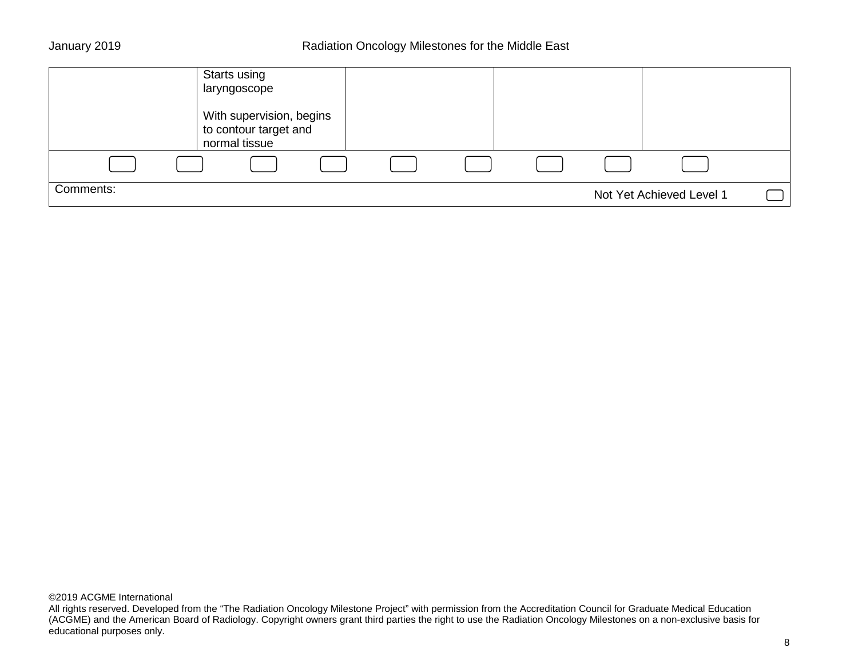|           | Starts using<br>laryngoscope                                       |  |  |                          |  |
|-----------|--------------------------------------------------------------------|--|--|--------------------------|--|
|           | With supervision, begins<br>to contour target and<br>normal tissue |  |  |                          |  |
|           |                                                                    |  |  |                          |  |
| Comments: |                                                                    |  |  | Not Yet Achieved Level 1 |  |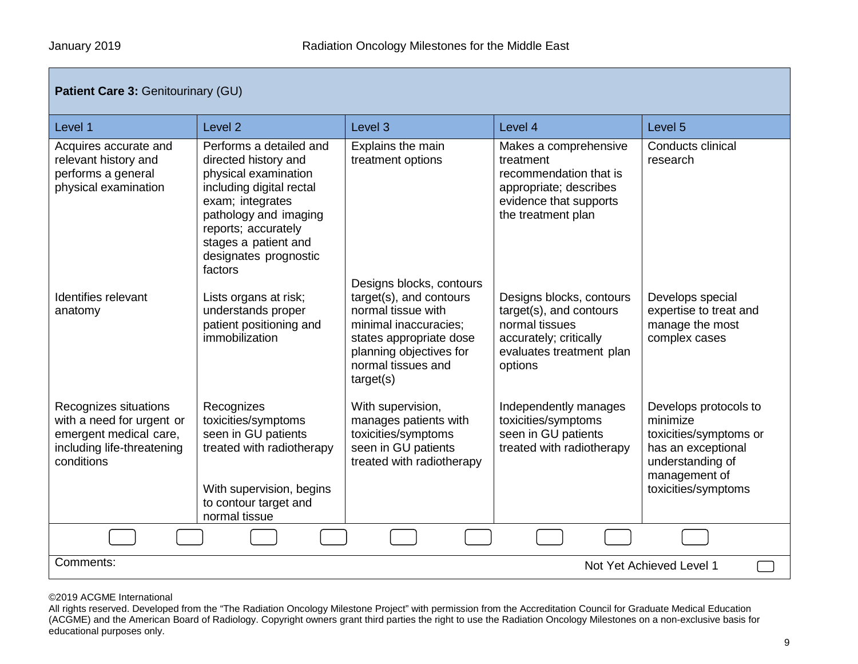| <b>Patient Care 3: Genitourinary (GU)</b>                                                                                |                                                                                                                                                                                                                                     |                                                                                                                                                                                             |                                                                                                                                        |                                                                                                                                               |  |  |  |
|--------------------------------------------------------------------------------------------------------------------------|-------------------------------------------------------------------------------------------------------------------------------------------------------------------------------------------------------------------------------------|---------------------------------------------------------------------------------------------------------------------------------------------------------------------------------------------|----------------------------------------------------------------------------------------------------------------------------------------|-----------------------------------------------------------------------------------------------------------------------------------------------|--|--|--|
| Level 1                                                                                                                  | Level <sub>2</sub>                                                                                                                                                                                                                  | Level 3                                                                                                                                                                                     | Level 4                                                                                                                                | Level 5                                                                                                                                       |  |  |  |
| Acquires accurate and<br>relevant history and<br>performs a general<br>physical examination                              | Performs a detailed and<br>directed history and<br>physical examination<br>including digital rectal<br>exam; integrates<br>pathology and imaging<br>reports; accurately<br>stages a patient and<br>designates prognostic<br>factors | Explains the main<br>treatment options                                                                                                                                                      | Makes a comprehensive<br>treatment<br>recommendation that is<br>appropriate; describes<br>evidence that supports<br>the treatment plan | Conducts clinical<br>research                                                                                                                 |  |  |  |
| Identifies relevant<br>anatomy                                                                                           | Lists organs at risk;<br>understands proper<br>patient positioning and<br>immobilization                                                                                                                                            | Designs blocks, contours<br>target(s), and contours<br>normal tissue with<br>minimal inaccuracies;<br>states appropriate dose<br>planning objectives for<br>normal tissues and<br>target(s) | Designs blocks, contours<br>target(s), and contours<br>normal tissues<br>accurately; critically<br>evaluates treatment plan<br>options | Develops special<br>expertise to treat and<br>manage the most<br>complex cases                                                                |  |  |  |
| Recognizes situations<br>with a need for urgent or<br>emergent medical care,<br>including life-threatening<br>conditions | Recognizes<br>toxicities/symptoms<br>seen in GU patients<br>treated with radiotherapy<br>With supervision, begins<br>to contour target and<br>normal tissue                                                                         | With supervision,<br>manages patients with<br>toxicities/symptoms<br>seen in GU patients<br>treated with radiotherapy                                                                       | Independently manages<br>toxicities/symptoms<br>seen in GU patients<br>treated with radiotherapy                                       | Develops protocols to<br>minimize<br>toxicities/symptoms or<br>has an exceptional<br>understanding of<br>management of<br>toxicities/symptoms |  |  |  |
|                                                                                                                          |                                                                                                                                                                                                                                     |                                                                                                                                                                                             |                                                                                                                                        |                                                                                                                                               |  |  |  |
| Comments:                                                                                                                | Not Yet Achieved Level 1                                                                                                                                                                                                            |                                                                                                                                                                                             |                                                                                                                                        |                                                                                                                                               |  |  |  |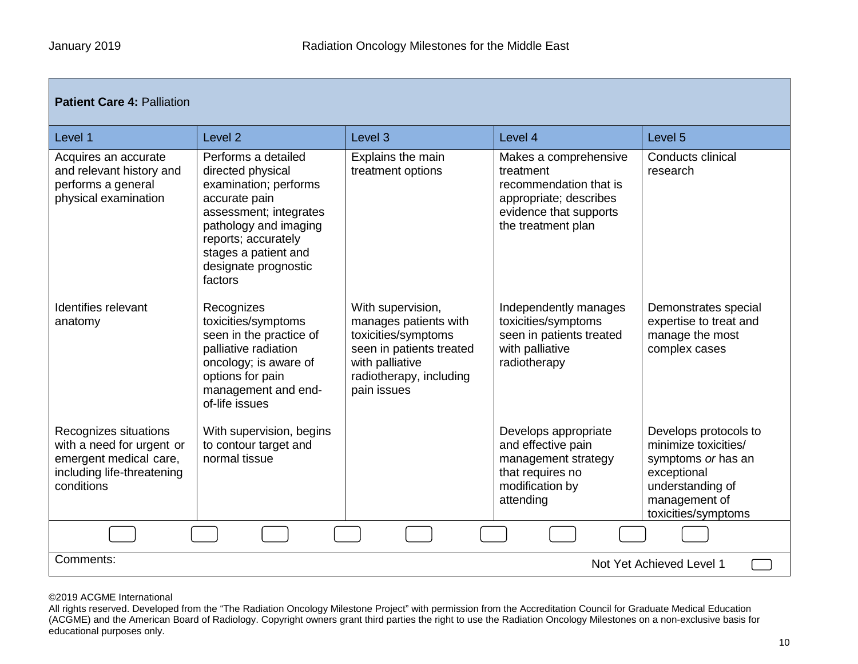| <b>Patient Care 4: Palliation</b>                                                                                        |                                                                                                                                                                                                                         |                                                                                                                                                            |                                                                                                                                        |                                                                                                                                                |  |  |
|--------------------------------------------------------------------------------------------------------------------------|-------------------------------------------------------------------------------------------------------------------------------------------------------------------------------------------------------------------------|------------------------------------------------------------------------------------------------------------------------------------------------------------|----------------------------------------------------------------------------------------------------------------------------------------|------------------------------------------------------------------------------------------------------------------------------------------------|--|--|
| Level 1                                                                                                                  | Level <sub>2</sub>                                                                                                                                                                                                      | Level 3                                                                                                                                                    | Level 4                                                                                                                                | Level 5                                                                                                                                        |  |  |
| Acquires an accurate<br>and relevant history and<br>performs a general<br>physical examination                           | Performs a detailed<br>directed physical<br>examination; performs<br>accurate pain<br>assessment; integrates<br>pathology and imaging<br>reports; accurately<br>stages a patient and<br>designate prognostic<br>factors | Explains the main<br>treatment options                                                                                                                     | Makes a comprehensive<br>treatment<br>recommendation that is<br>appropriate; describes<br>evidence that supports<br>the treatment plan | Conducts clinical<br>research                                                                                                                  |  |  |
| Identifies relevant<br>anatomy                                                                                           | Recognizes<br>toxicities/symptoms<br>seen in the practice of<br>palliative radiation<br>oncology; is aware of<br>options for pain<br>management and end-<br>of-life issues                                              | With supervision,<br>manages patients with<br>toxicities/symptoms<br>seen in patients treated<br>with palliative<br>radiotherapy, including<br>pain issues | Independently manages<br>toxicities/symptoms<br>seen in patients treated<br>with palliative<br>radiotherapy                            | Demonstrates special<br>expertise to treat and<br>manage the most<br>complex cases                                                             |  |  |
| Recognizes situations<br>with a need for urgent or<br>emergent medical care,<br>including life-threatening<br>conditions | With supervision, begins<br>to contour target and<br>normal tissue                                                                                                                                                      |                                                                                                                                                            | Develops appropriate<br>and effective pain<br>management strategy<br>that requires no<br>modification by<br>attending                  | Develops protocols to<br>minimize toxicities/<br>symptoms or has an<br>exceptional<br>understanding of<br>management of<br>toxicities/symptoms |  |  |
|                                                                                                                          |                                                                                                                                                                                                                         |                                                                                                                                                            |                                                                                                                                        |                                                                                                                                                |  |  |
| Comments:<br>Not Yet Achieved Level 1                                                                                    |                                                                                                                                                                                                                         |                                                                                                                                                            |                                                                                                                                        |                                                                                                                                                |  |  |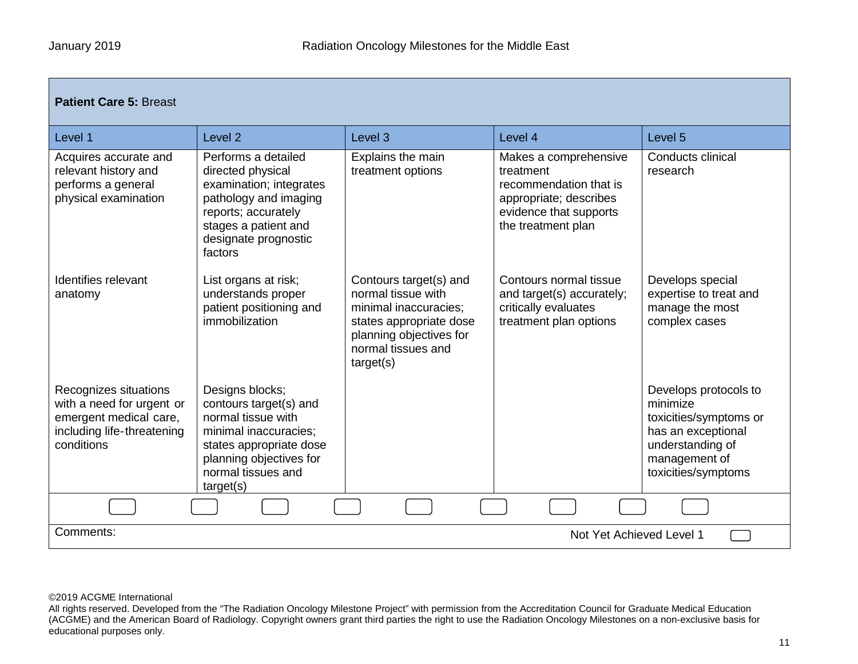| <b>Patient Care 5: Breast</b>                                                                                            |                                                                                                                                                                                   |                                                                                                                                                                |                                                                                                                                        |                                                                                                                                               |  |  |
|--------------------------------------------------------------------------------------------------------------------------|-----------------------------------------------------------------------------------------------------------------------------------------------------------------------------------|----------------------------------------------------------------------------------------------------------------------------------------------------------------|----------------------------------------------------------------------------------------------------------------------------------------|-----------------------------------------------------------------------------------------------------------------------------------------------|--|--|
| Level 1                                                                                                                  | Level <sub>2</sub>                                                                                                                                                                | Level <sub>3</sub>                                                                                                                                             | Level 4                                                                                                                                | Level <sub>5</sub>                                                                                                                            |  |  |
| Acquires accurate and<br>relevant history and<br>performs a general<br>physical examination                              | Performs a detailed<br>directed physical<br>examination; integrates<br>pathology and imaging<br>reports; accurately<br>stages a patient and<br>designate prognostic<br>factors    | Explains the main<br>treatment options                                                                                                                         | Makes a comprehensive<br>treatment<br>recommendation that is<br>appropriate; describes<br>evidence that supports<br>the treatment plan | Conducts clinical<br>research                                                                                                                 |  |  |
| Identifies relevant<br>anatomy                                                                                           | List organs at risk;<br>understands proper<br>patient positioning and<br>immobilization                                                                                           | Contours target(s) and<br>normal tissue with<br>minimal inaccuracies;<br>states appropriate dose<br>planning objectives for<br>normal tissues and<br>target(s) | Contours normal tissue<br>and target(s) accurately;<br>critically evaluates<br>treatment plan options                                  | Develops special<br>expertise to treat and<br>manage the most<br>complex cases                                                                |  |  |
| Recognizes situations<br>with a need for urgent or<br>emergent medical care,<br>including life-threatening<br>conditions | Designs blocks;<br>contours target(s) and<br>normal tissue with<br>minimal inaccuracies:<br>states appropriate dose<br>planning objectives for<br>normal tissues and<br>target(s) |                                                                                                                                                                |                                                                                                                                        | Develops protocols to<br>minimize<br>toxicities/symptoms or<br>has an exceptional<br>understanding of<br>management of<br>toxicities/symptoms |  |  |
|                                                                                                                          |                                                                                                                                                                                   |                                                                                                                                                                |                                                                                                                                        |                                                                                                                                               |  |  |
| Comments:<br>Not Yet Achieved Level 1                                                                                    |                                                                                                                                                                                   |                                                                                                                                                                |                                                                                                                                        |                                                                                                                                               |  |  |

All rights reserved. Developed from the "The Radiation Oncology Milestone Project" with permission from the Accreditation Council for Graduate Medical Education (ACGME) and the American Board of Radiology. Copyright owners grant third parties the right to use the Radiation Oncology Milestones on a non-exclusive basis for educational purposes only.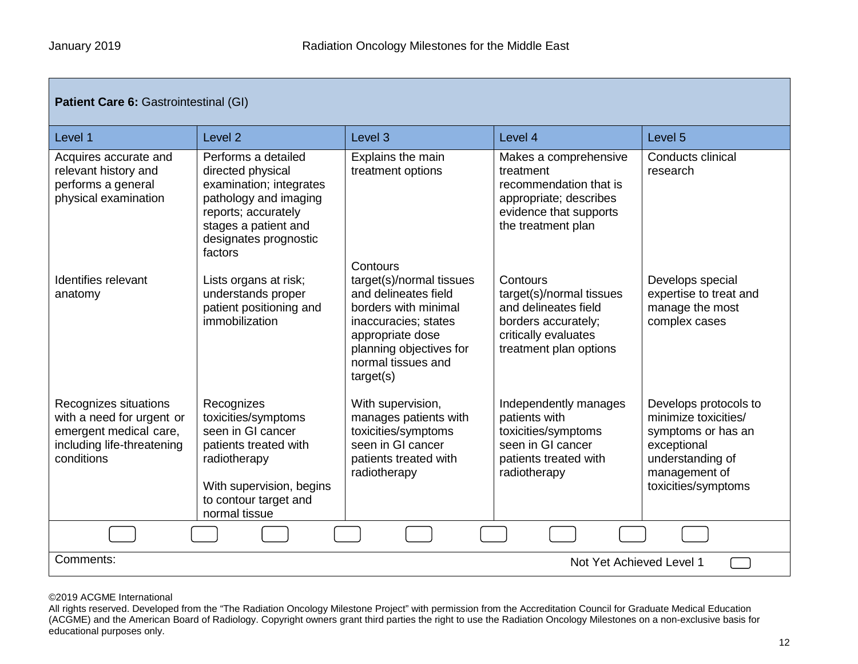| <b>Patient Care 6: Gastrointestinal (GI)</b>                                                                             |                                                                                                                                                                                 |                                                                                                                                                                                                |                                                                                                                                        |                                                                                                                                                |  |  |
|--------------------------------------------------------------------------------------------------------------------------|---------------------------------------------------------------------------------------------------------------------------------------------------------------------------------|------------------------------------------------------------------------------------------------------------------------------------------------------------------------------------------------|----------------------------------------------------------------------------------------------------------------------------------------|------------------------------------------------------------------------------------------------------------------------------------------------|--|--|
| Level 1                                                                                                                  | Level <sub>2</sub>                                                                                                                                                              | Level <sub>3</sub>                                                                                                                                                                             | Level 4                                                                                                                                | Level 5                                                                                                                                        |  |  |
| Acquires accurate and<br>relevant history and<br>performs a general<br>physical examination                              | Performs a detailed<br>directed physical<br>examination; integrates<br>pathology and imaging<br>reports; accurately<br>stages a patient and<br>designates prognostic<br>factors | Explains the main<br>treatment options                                                                                                                                                         | Makes a comprehensive<br>treatment<br>recommendation that is<br>appropriate; describes<br>evidence that supports<br>the treatment plan | <b>Conducts clinical</b><br>research                                                                                                           |  |  |
| Identifies relevant<br>anatomy                                                                                           | Lists organs at risk;<br>understands proper<br>patient positioning and<br>immobilization                                                                                        | Contours<br>target(s)/normal tissues<br>and delineates field<br>borders with minimal<br>inaccuracies; states<br>appropriate dose<br>planning objectives for<br>normal tissues and<br>target(s) | Contours<br>target(s)/normal tissues<br>and delineates field<br>borders accurately;<br>critically evaluates<br>treatment plan options  | Develops special<br>expertise to treat and<br>manage the most<br>complex cases                                                                 |  |  |
| Recognizes situations<br>with a need for urgent or<br>emergent medical care,<br>including life-threatening<br>conditions | Recognizes<br>toxicities/symptoms<br>seen in GI cancer<br>patients treated with<br>radiotherapy<br>With supervision, begins<br>to contour target and<br>normal tissue           | With supervision,<br>manages patients with<br>toxicities/symptoms<br>seen in GI cancer<br>patients treated with<br>radiotherapy                                                                | Independently manages<br>patients with<br>toxicities/symptoms<br>seen in GI cancer<br>patients treated with<br>radiotherapy            | Develops protocols to<br>minimize toxicities/<br>symptoms or has an<br>exceptional<br>understanding of<br>management of<br>toxicities/symptoms |  |  |
|                                                                                                                          |                                                                                                                                                                                 |                                                                                                                                                                                                |                                                                                                                                        |                                                                                                                                                |  |  |
| Comments:<br>Not Yet Achieved Level 1                                                                                    |                                                                                                                                                                                 |                                                                                                                                                                                                |                                                                                                                                        |                                                                                                                                                |  |  |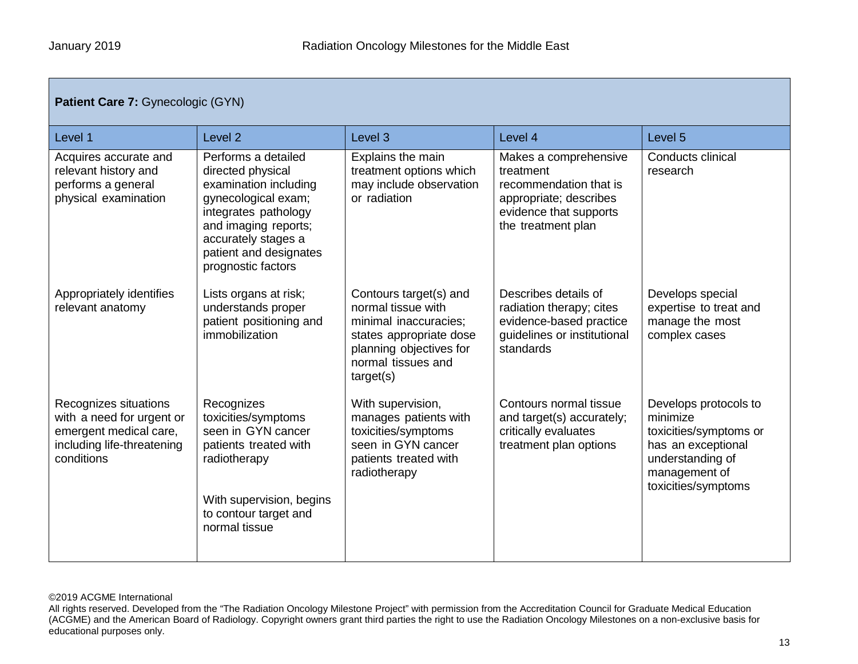| Patient Care 7: Gynecologic (GYN)                                                                                        |                                                                                                                                                                                                                 |                                                                                                                                                                |                                                                                                                                        |                                                                                                                                               |  |  |
|--------------------------------------------------------------------------------------------------------------------------|-----------------------------------------------------------------------------------------------------------------------------------------------------------------------------------------------------------------|----------------------------------------------------------------------------------------------------------------------------------------------------------------|----------------------------------------------------------------------------------------------------------------------------------------|-----------------------------------------------------------------------------------------------------------------------------------------------|--|--|
| Level 1                                                                                                                  | Level <sub>2</sub>                                                                                                                                                                                              | Level <sub>3</sub>                                                                                                                                             | Level 4                                                                                                                                | Level 5                                                                                                                                       |  |  |
| Acquires accurate and<br>relevant history and<br>performs a general<br>physical examination                              | Performs a detailed<br>directed physical<br>examination including<br>gynecological exam;<br>integrates pathology<br>and imaging reports;<br>accurately stages a<br>patient and designates<br>prognostic factors | Explains the main<br>treatment options which<br>may include observation<br>or radiation                                                                        | Makes a comprehensive<br>treatment<br>recommendation that is<br>appropriate; describes<br>evidence that supports<br>the treatment plan | Conducts clinical<br>research                                                                                                                 |  |  |
| Appropriately identifies<br>relevant anatomy                                                                             | Lists organs at risk;<br>understands proper<br>patient positioning and<br>immobilization                                                                                                                        | Contours target(s) and<br>normal tissue with<br>minimal inaccuracies;<br>states appropriate dose<br>planning objectives for<br>normal tissues and<br>target(s) | Describes details of<br>radiation therapy; cites<br>evidence-based practice<br>guidelines or institutional<br>standards                | Develops special<br>expertise to treat and<br>manage the most<br>complex cases                                                                |  |  |
| Recognizes situations<br>with a need for urgent or<br>emergent medical care,<br>including life-threatening<br>conditions | Recognizes<br>toxicities/symptoms<br>seen in GYN cancer<br>patients treated with<br>radiotherapy<br>With supervision, begins<br>to contour target and<br>normal tissue                                          | With supervision,<br>manages patients with<br>toxicities/symptoms<br>seen in GYN cancer<br>patients treated with<br>radiotherapy                               | Contours normal tissue<br>and target(s) accurately;<br>critically evaluates<br>treatment plan options                                  | Develops protocols to<br>minimize<br>toxicities/symptoms or<br>has an exceptional<br>understanding of<br>management of<br>toxicities/symptoms |  |  |

All rights reserved. Developed from the "The Radiation Oncology Milestone Project" with permission from the Accreditation Council for Graduate Medical Education (ACGME) and the American Board of Radiology. Copyright owners grant third parties the right to use the Radiation Oncology Milestones on a non-exclusive basis for educational purposes only.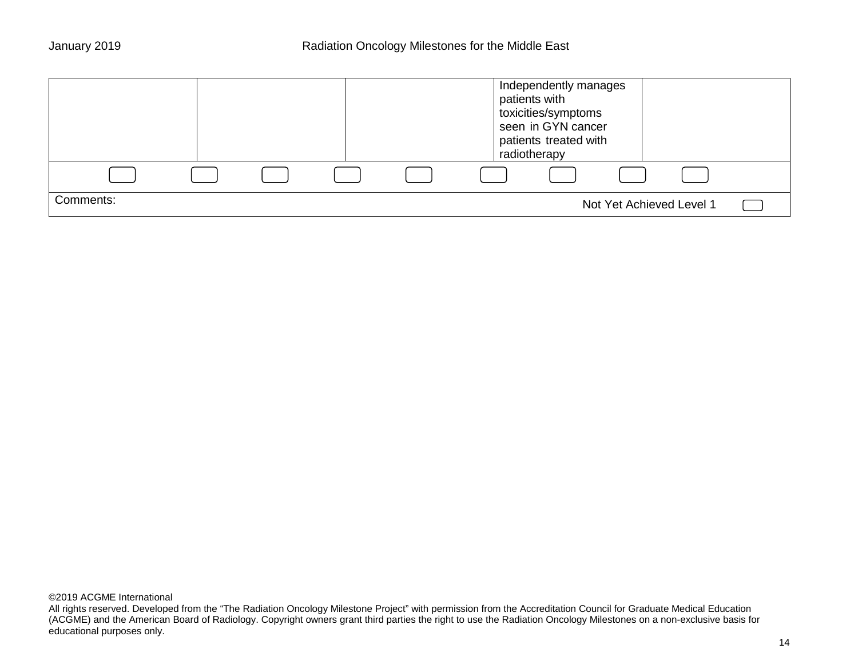|           |  |  | Independently manages<br>patients with<br>toxicities/symptoms<br>seen in GYN cancer<br>patients treated with<br>radiotherapy |
|-----------|--|--|------------------------------------------------------------------------------------------------------------------------------|
|           |  |  |                                                                                                                              |
| Comments: |  |  | Not Yet Achieved Level 1                                                                                                     |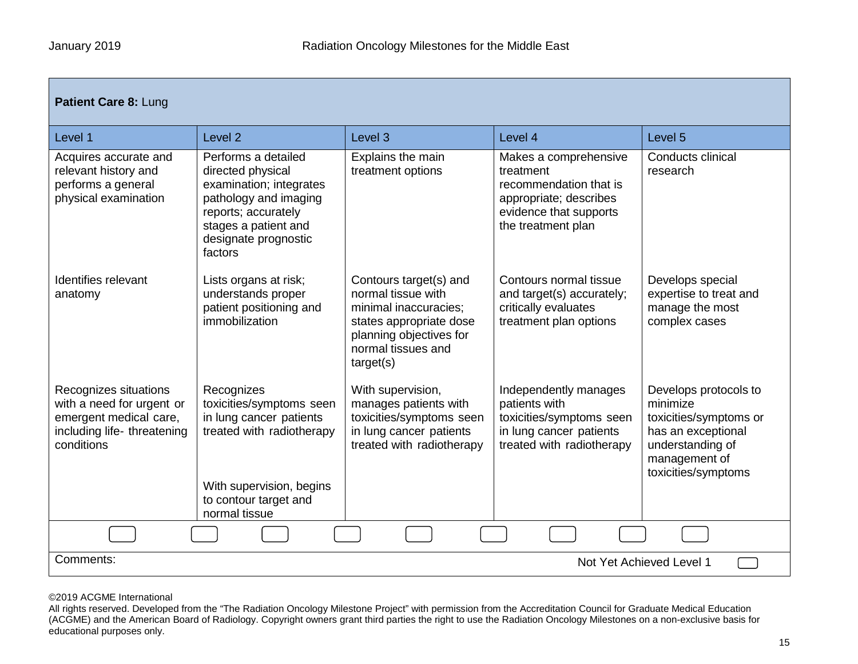| Patient Care 8: Lung                                                                                                     |                                                                                                                                                                                |                                                                                                                                                                |                                                                                                                                        |                                                                                                                                               |  |  |  |
|--------------------------------------------------------------------------------------------------------------------------|--------------------------------------------------------------------------------------------------------------------------------------------------------------------------------|----------------------------------------------------------------------------------------------------------------------------------------------------------------|----------------------------------------------------------------------------------------------------------------------------------------|-----------------------------------------------------------------------------------------------------------------------------------------------|--|--|--|
| Level 1                                                                                                                  | Level <sub>2</sub>                                                                                                                                                             | Level <sub>3</sub>                                                                                                                                             | Level 4                                                                                                                                | Level <sub>5</sub>                                                                                                                            |  |  |  |
| Acquires accurate and<br>relevant history and<br>performs a general<br>physical examination                              | Performs a detailed<br>directed physical<br>examination; integrates<br>pathology and imaging<br>reports; accurately<br>stages a patient and<br>designate prognostic<br>factors | Explains the main<br>treatment options                                                                                                                         | Makes a comprehensive<br>treatment<br>recommendation that is<br>appropriate; describes<br>evidence that supports<br>the treatment plan | Conducts clinical<br>research                                                                                                                 |  |  |  |
| Identifies relevant<br>anatomy                                                                                           | Lists organs at risk;<br>understands proper<br>patient positioning and<br>immobilization                                                                                       | Contours target(s) and<br>normal tissue with<br>minimal inaccuracies;<br>states appropriate dose<br>planning objectives for<br>normal tissues and<br>target(s) | Contours normal tissue<br>and target(s) accurately;<br>critically evaluates<br>treatment plan options                                  | Develops special<br>expertise to treat and<br>manage the most<br>complex cases                                                                |  |  |  |
| Recognizes situations<br>with a need for urgent or<br>emergent medical care,<br>including life-threatening<br>conditions | Recognizes<br>toxicities/symptoms seen<br>in lung cancer patients<br>treated with radiotherapy<br>With supervision, begins<br>to contour target and<br>normal tissue           | With supervision,<br>manages patients with<br>toxicities/symptoms seen<br>in lung cancer patients<br>treated with radiotherapy                                 | Independently manages<br>patients with<br>toxicities/symptoms seen<br>in lung cancer patients<br>treated with radiotherapy             | Develops protocols to<br>minimize<br>toxicities/symptoms or<br>has an exceptional<br>understanding of<br>management of<br>toxicities/symptoms |  |  |  |
|                                                                                                                          |                                                                                                                                                                                |                                                                                                                                                                |                                                                                                                                        |                                                                                                                                               |  |  |  |
| Comments:<br>Not Yet Achieved Level 1                                                                                    |                                                                                                                                                                                |                                                                                                                                                                |                                                                                                                                        |                                                                                                                                               |  |  |  |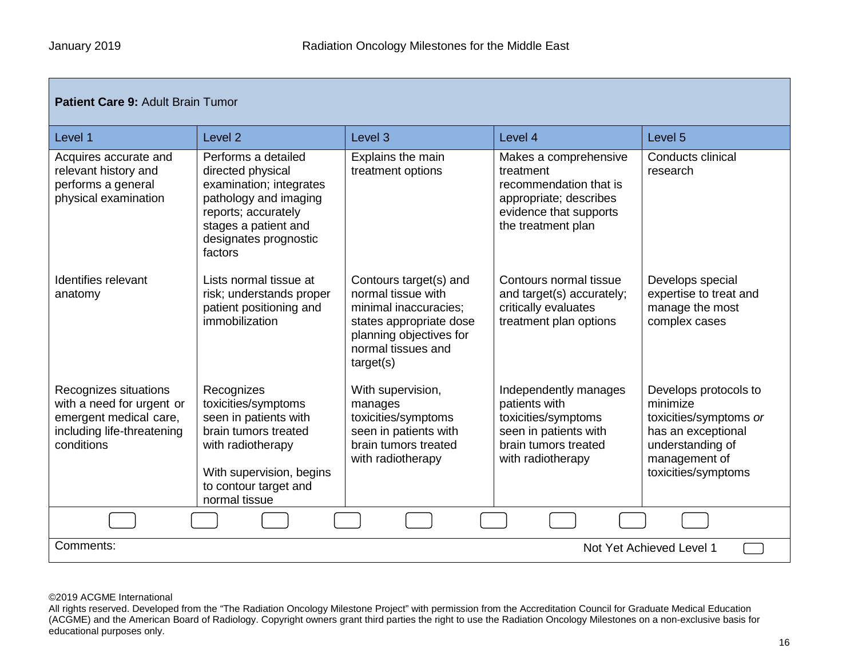| <b>Patient Care 9: Adult Brain Tumor</b>                                                                                 |                                                                                                                                                                                 |                                                                                                                                                                |                                                                                                                                        |                                                                                                                                               |  |  |
|--------------------------------------------------------------------------------------------------------------------------|---------------------------------------------------------------------------------------------------------------------------------------------------------------------------------|----------------------------------------------------------------------------------------------------------------------------------------------------------------|----------------------------------------------------------------------------------------------------------------------------------------|-----------------------------------------------------------------------------------------------------------------------------------------------|--|--|
| Level 1                                                                                                                  | Level <sub>2</sub>                                                                                                                                                              | Level <sub>3</sub>                                                                                                                                             | Level 4                                                                                                                                | Level <sub>5</sub>                                                                                                                            |  |  |
| Acquires accurate and<br>relevant history and<br>performs a general<br>physical examination                              | Performs a detailed<br>directed physical<br>examination; integrates<br>pathology and imaging<br>reports; accurately<br>stages a patient and<br>designates prognostic<br>factors | Explains the main<br>treatment options                                                                                                                         | Makes a comprehensive<br>treatment<br>recommendation that is<br>appropriate; describes<br>evidence that supports<br>the treatment plan | <b>Conducts clinical</b><br>research                                                                                                          |  |  |
| Identifies relevant<br>anatomy                                                                                           | Lists normal tissue at<br>risk; understands proper<br>patient positioning and<br>immobilization                                                                                 | Contours target(s) and<br>normal tissue with<br>minimal inaccuracies;<br>states appropriate dose<br>planning objectives for<br>normal tissues and<br>target(s) | Contours normal tissue<br>and target(s) accurately;<br>critically evaluates<br>treatment plan options                                  | Develops special<br>expertise to treat and<br>manage the most<br>complex cases                                                                |  |  |
| Recognizes situations<br>with a need for urgent or<br>emergent medical care,<br>including life-threatening<br>conditions | Recognizes<br>toxicities/symptoms<br>seen in patients with<br>brain tumors treated<br>with radiotherapy<br>With supervision, begins<br>to contour target and<br>normal tissue   | With supervision,<br>manages<br>toxicities/symptoms<br>seen in patients with<br>brain tumors treated<br>with radiotherapy                                      | Independently manages<br>patients with<br>toxicities/symptoms<br>seen in patients with<br>brain tumors treated<br>with radiotherapy    | Develops protocols to<br>minimize<br>toxicities/symptoms or<br>has an exceptional<br>understanding of<br>management of<br>toxicities/symptoms |  |  |
|                                                                                                                          |                                                                                                                                                                                 |                                                                                                                                                                |                                                                                                                                        |                                                                                                                                               |  |  |
| Comments:<br>Not Yet Achieved Level 1                                                                                    |                                                                                                                                                                                 |                                                                                                                                                                |                                                                                                                                        |                                                                                                                                               |  |  |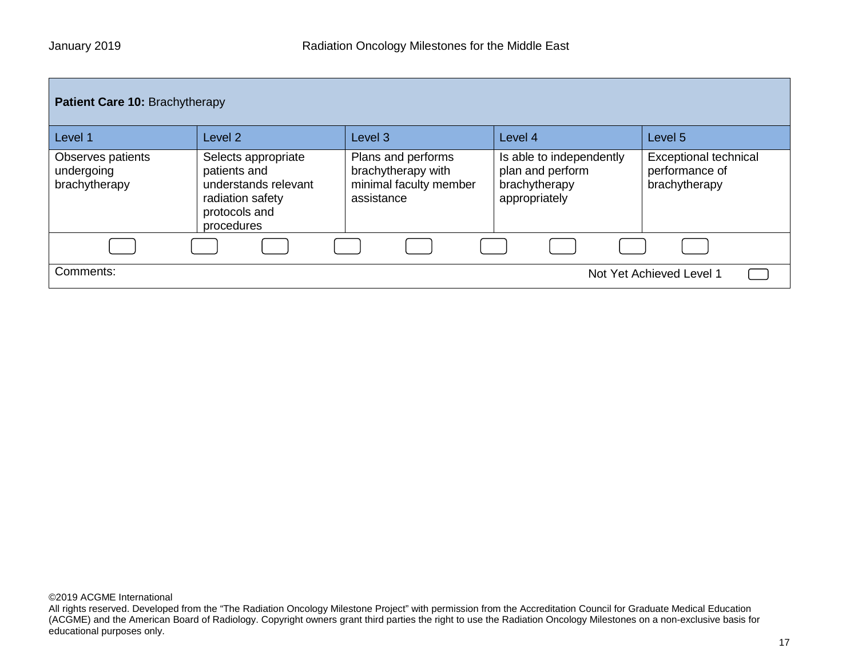| Patient Care 10: Brachytherapy                   |                                                                                                                |                                                                                  |                                                                                |                                                                 |
|--------------------------------------------------|----------------------------------------------------------------------------------------------------------------|----------------------------------------------------------------------------------|--------------------------------------------------------------------------------|-----------------------------------------------------------------|
| Level 1                                          | Level 2                                                                                                        | Level <sub>3</sub>                                                               | Level 4                                                                        | Level 5                                                         |
| Observes patients<br>undergoing<br>brachytherapy | Selects appropriate<br>patients and<br>understands relevant<br>radiation safety<br>protocols and<br>procedures | Plans and performs<br>brachytherapy with<br>minimal faculty member<br>assistance | Is able to independently<br>plan and perform<br>brachytherapy<br>appropriately | <b>Exceptional technical</b><br>performance of<br>brachytherapy |
|                                                  |                                                                                                                |                                                                                  |                                                                                |                                                                 |
| Comments:                                        |                                                                                                                |                                                                                  |                                                                                | Not Yet Achieved Level 1                                        |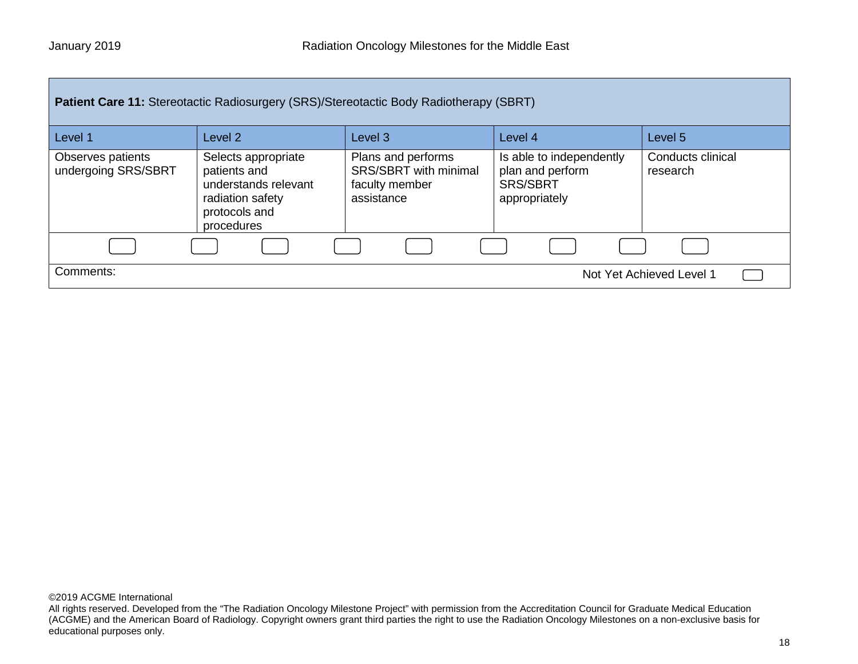| <b>Patient Care 11: Stereotactic Radiosurgery (SRS)/Stereotactic Body Radiotherapy (SBRT)</b> |                                                                                                                |                                                                             |                                                                                  |                               |
|-----------------------------------------------------------------------------------------------|----------------------------------------------------------------------------------------------------------------|-----------------------------------------------------------------------------|----------------------------------------------------------------------------------|-------------------------------|
| Level 1                                                                                       | Level 2                                                                                                        | Level 3                                                                     | Level 4                                                                          | Level 5                       |
| Observes patients<br>undergoing SRS/SBRT                                                      | Selects appropriate<br>patients and<br>understands relevant<br>radiation safety<br>protocols and<br>procedures | Plans and performs<br>SRS/SBRT with minimal<br>faculty member<br>assistance | Is able to independently<br>plan and perform<br><b>SRS/SBRT</b><br>appropriately | Conducts clinical<br>research |
|                                                                                               |                                                                                                                |                                                                             |                                                                                  |                               |
| Comments:                                                                                     |                                                                                                                |                                                                             |                                                                                  | Not Yet Achieved Level 1      |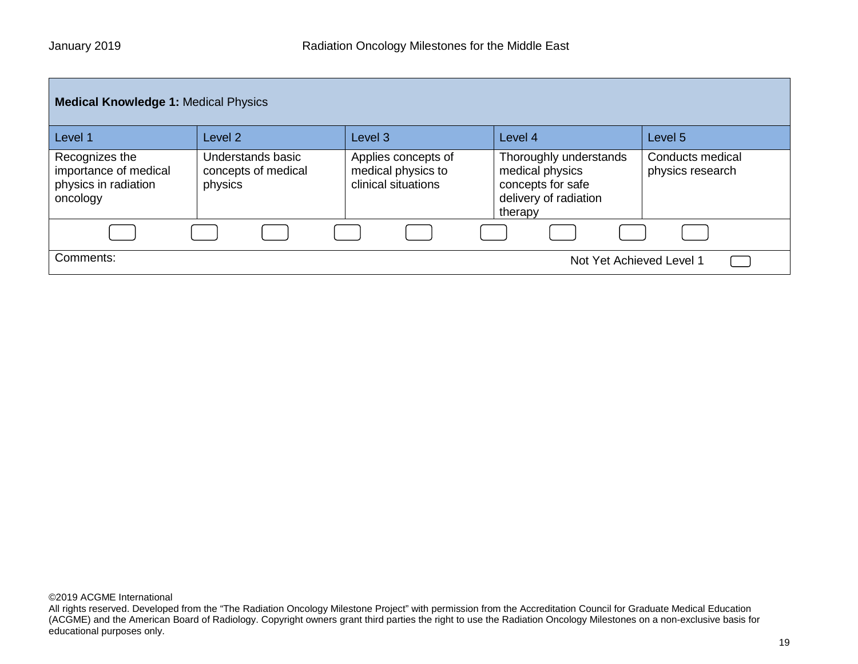| <b>Medical Knowledge 1: Medical Physics</b>                                 |                                                     |                                                                  |                                                                                                    |                                      |
|-----------------------------------------------------------------------------|-----------------------------------------------------|------------------------------------------------------------------|----------------------------------------------------------------------------------------------------|--------------------------------------|
| Level 1                                                                     | Level <sub>2</sub>                                  | Level <sub>3</sub>                                               | Level 4                                                                                            | Level 5                              |
| Recognizes the<br>importance of medical<br>physics in radiation<br>oncology | Understands basic<br>concepts of medical<br>physics | Applies concepts of<br>medical physics to<br>clinical situations | Thoroughly understands<br>medical physics<br>concepts for safe<br>delivery of radiation<br>therapy | Conducts medical<br>physics research |
|                                                                             |                                                     |                                                                  |                                                                                                    |                                      |
| Comments:<br>Not Yet Achieved Level 1                                       |                                                     |                                                                  |                                                                                                    |                                      |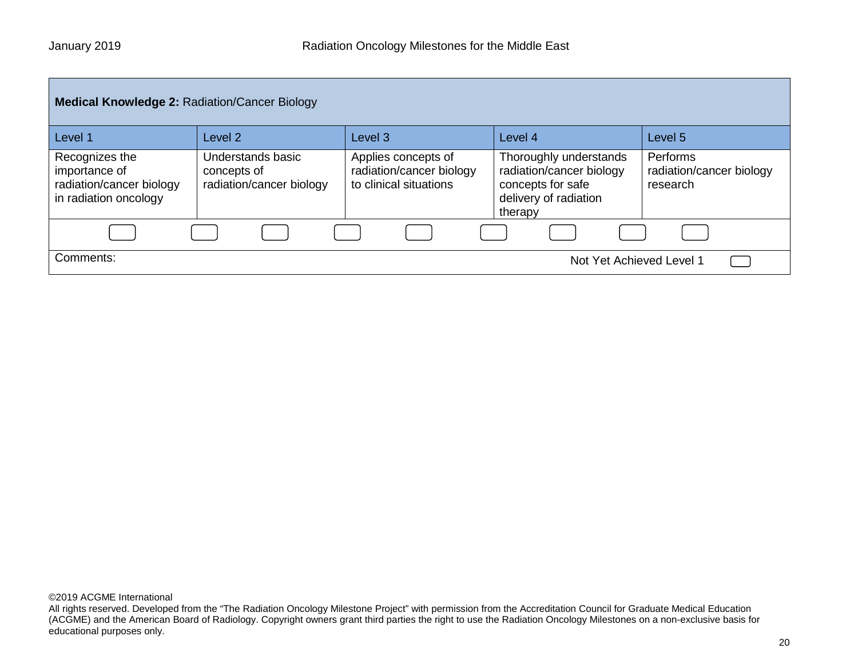| <b>Medical Knowledge 2: Radiation/Cancer Biology</b>                                 |                                                              |                                                                           |                                                                                                             |                                                  |
|--------------------------------------------------------------------------------------|--------------------------------------------------------------|---------------------------------------------------------------------------|-------------------------------------------------------------------------------------------------------------|--------------------------------------------------|
| Level 1                                                                              | Level 2                                                      | Level <sub>3</sub>                                                        | Level 4                                                                                                     | Level 5                                          |
| Recognizes the<br>importance of<br>radiation/cancer biology<br>in radiation oncology | Understands basic<br>concepts of<br>radiation/cancer biology | Applies concepts of<br>radiation/cancer biology<br>to clinical situations | Thoroughly understands<br>radiation/cancer biology<br>concepts for safe<br>delivery of radiation<br>therapy | Performs<br>radiation/cancer biology<br>research |
|                                                                                      |                                                              |                                                                           |                                                                                                             |                                                  |
| Comments:                                                                            |                                                              |                                                                           | Not Yet Achieved Level 1                                                                                    |                                                  |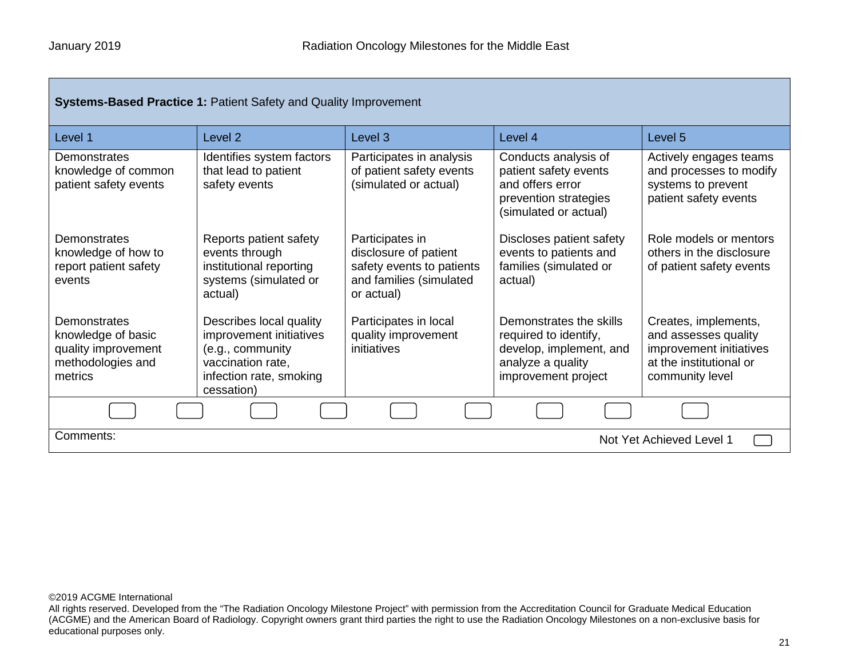Г

| <b>Systems-Based Practice 1: Patient Safety and Quality Improvement</b>                   |                                                                                                                                      |                                                                                                                |                                                                                                                         |                                                                                                                       |
|-------------------------------------------------------------------------------------------|--------------------------------------------------------------------------------------------------------------------------------------|----------------------------------------------------------------------------------------------------------------|-------------------------------------------------------------------------------------------------------------------------|-----------------------------------------------------------------------------------------------------------------------|
| Level 1                                                                                   | Level <sub>2</sub>                                                                                                                   | Level <sub>3</sub>                                                                                             | Level 4                                                                                                                 | Level 5                                                                                                               |
| Demonstrates<br>knowledge of common<br>patient safety events                              | Identifies system factors<br>that lead to patient<br>safety events                                                                   | Participates in analysis<br>of patient safety events<br>(simulated or actual)                                  | Conducts analysis of<br>patient safety events<br>and offers error<br>prevention strategies<br>(simulated or actual)     | Actively engages teams<br>and processes to modify<br>systems to prevent<br>patient safety events                      |
| Demonstrates<br>knowledge of how to<br>report patient safety<br>events                    | Reports patient safety<br>events through<br>institutional reporting<br>systems (simulated or<br>actual)                              | Participates in<br>disclosure of patient<br>safety events to patients<br>and families (simulated<br>or actual) | Discloses patient safety<br>events to patients and<br>families (simulated or<br>actual)                                 | Role models or mentors<br>others in the disclosure<br>of patient safety events                                        |
| Demonstrates<br>knowledge of basic<br>quality improvement<br>methodologies and<br>metrics | Describes local quality<br>improvement initiatives<br>(e.g., community<br>vaccination rate,<br>infection rate, smoking<br>cessation) | Participates in local<br>quality improvement<br>initiatives                                                    | Demonstrates the skills<br>required to identify,<br>develop, implement, and<br>analyze a quality<br>improvement project | Creates, implements,<br>and assesses quality<br>improvement initiatives<br>at the institutional or<br>community level |
|                                                                                           |                                                                                                                                      |                                                                                                                |                                                                                                                         |                                                                                                                       |
| Comments:<br>Not Yet Achieved Level 1                                                     |                                                                                                                                      |                                                                                                                |                                                                                                                         |                                                                                                                       |

©2019 ACGME International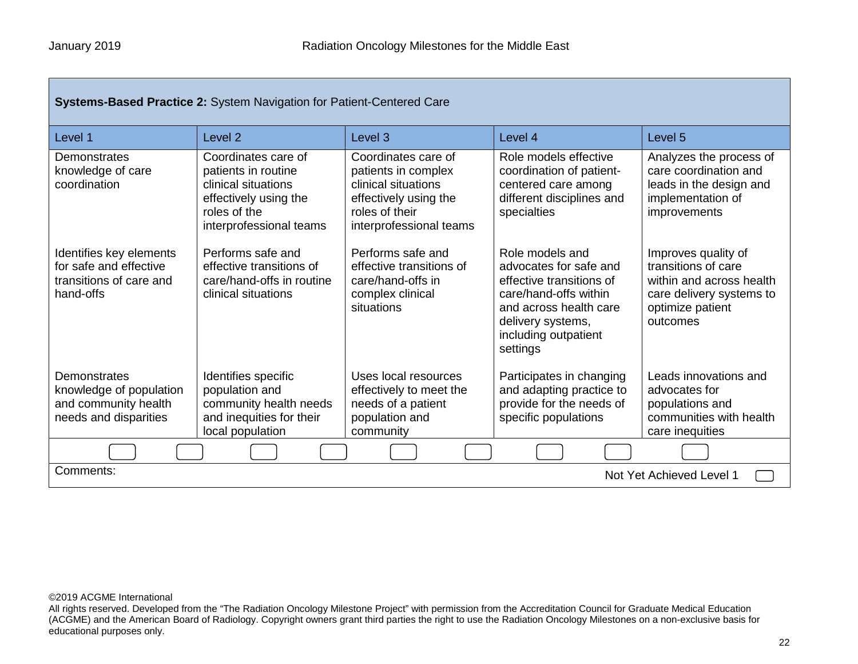Г

| <b>Systems-Based Practice 2: System Navigation for Patient-Centered Care</b>              |                                                                                                                                       |                                                                                                                                         |                                                                                                                                                                                   |                                                                                                                                    |
|-------------------------------------------------------------------------------------------|---------------------------------------------------------------------------------------------------------------------------------------|-----------------------------------------------------------------------------------------------------------------------------------------|-----------------------------------------------------------------------------------------------------------------------------------------------------------------------------------|------------------------------------------------------------------------------------------------------------------------------------|
| Level 1                                                                                   | Level <sub>2</sub>                                                                                                                    | Level <sub>3</sub>                                                                                                                      | Level 4                                                                                                                                                                           | Level 5                                                                                                                            |
| Demonstrates<br>knowledge of care<br>coordination                                         | Coordinates care of<br>patients in routine<br>clinical situations<br>effectively using the<br>roles of the<br>interprofessional teams | Coordinates care of<br>patients in complex<br>clinical situations<br>effectively using the<br>roles of their<br>interprofessional teams | Role models effective<br>coordination of patient-<br>centered care among<br>different disciplines and<br>specialties                                                              | Analyzes the process of<br>care coordination and<br>leads in the design and<br>implementation of<br>improvements                   |
| Identifies key elements<br>for safe and effective<br>transitions of care and<br>hand-offs | Performs safe and<br>effective transitions of<br>care/hand-offs in routine<br>clinical situations                                     | Performs safe and<br>effective transitions of<br>care/hand-offs in<br>complex clinical<br>situations                                    | Role models and<br>advocates for safe and<br>effective transitions of<br>care/hand-offs within<br>and across health care<br>delivery systems,<br>including outpatient<br>settings | Improves quality of<br>transitions of care<br>within and across health<br>care delivery systems to<br>optimize patient<br>outcomes |
| Demonstrates<br>knowledge of population<br>and community health<br>needs and disparities  | Identifies specific<br>population and<br>community health needs<br>and inequities for their<br>local population                       | Uses local resources<br>effectively to meet the<br>needs of a patient<br>population and<br>community                                    | Participates in changing<br>and adapting practice to<br>provide for the needs of<br>specific populations                                                                          | Leads innovations and<br>advocates for<br>populations and<br>communities with health<br>care inequities                            |
|                                                                                           |                                                                                                                                       |                                                                                                                                         |                                                                                                                                                                                   |                                                                                                                                    |
| Comments:<br>Not Yet Achieved Level 1                                                     |                                                                                                                                       |                                                                                                                                         |                                                                                                                                                                                   |                                                                                                                                    |

©2019 ACGME International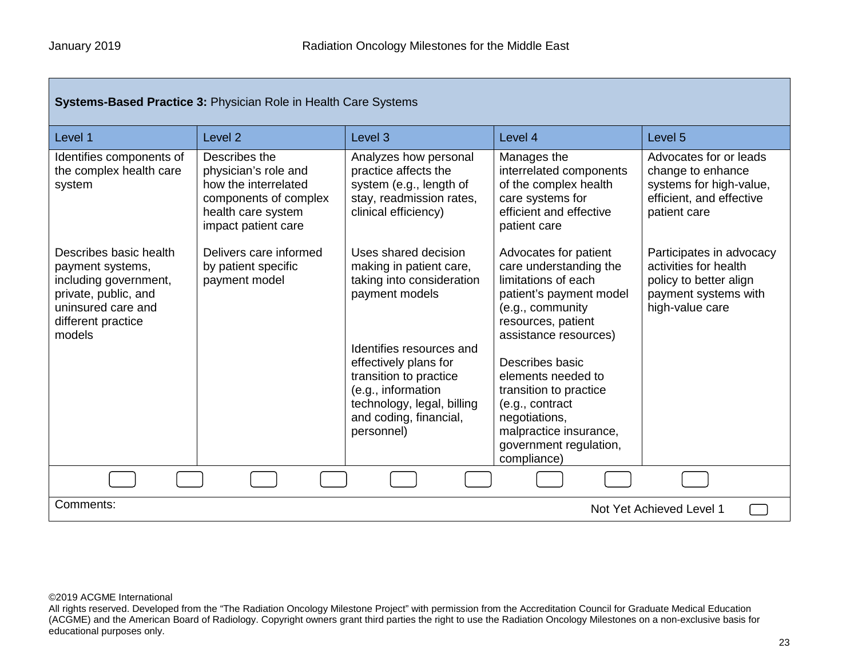| <b>Systems-Based Practice 3: Physician Role in Health Care Systems</b>                                                                            |                                                                                                                                     |                                                                                                                                                                         |                                                                                                                                                                        |                                                                                                                        |
|---------------------------------------------------------------------------------------------------------------------------------------------------|-------------------------------------------------------------------------------------------------------------------------------------|-------------------------------------------------------------------------------------------------------------------------------------------------------------------------|------------------------------------------------------------------------------------------------------------------------------------------------------------------------|------------------------------------------------------------------------------------------------------------------------|
| Level 1                                                                                                                                           | Level <sub>2</sub>                                                                                                                  | Level <sub>3</sub>                                                                                                                                                      | Level 4                                                                                                                                                                | Level 5                                                                                                                |
| Identifies components of<br>the complex health care<br>system                                                                                     | Describes the<br>physician's role and<br>how the interrelated<br>components of complex<br>health care system<br>impact patient care | Analyzes how personal<br>practice affects the<br>system (e.g., length of<br>stay, readmission rates,<br>clinical efficiency)                                            | Manages the<br>interrelated components<br>of the complex health<br>care systems for<br>efficient and effective<br>patient care                                         | Advocates for or leads<br>change to enhance<br>systems for high-value,<br>efficient, and effective<br>patient care     |
| Describes basic health<br>payment systems,<br>including government,<br>private, public, and<br>uninsured care and<br>different practice<br>models | Delivers care informed<br>by patient specific<br>payment model                                                                      | Uses shared decision<br>making in patient care,<br>taking into consideration<br>payment models                                                                          | Advocates for patient<br>care understanding the<br>limitations of each<br>patient's payment model<br>(e.g., community<br>resources, patient<br>assistance resources)   | Participates in advocacy<br>activities for health<br>policy to better align<br>payment systems with<br>high-value care |
|                                                                                                                                                   |                                                                                                                                     | Identifies resources and<br>effectively plans for<br>transition to practice<br>(e.g., information<br>technology, legal, billing<br>and coding, financial,<br>personnel) | Describes basic<br>elements needed to<br>transition to practice<br>(e.g., contract<br>negotiations,<br>malpractice insurance,<br>government regulation,<br>compliance) |                                                                                                                        |
|                                                                                                                                                   |                                                                                                                                     |                                                                                                                                                                         |                                                                                                                                                                        |                                                                                                                        |
| Comments:<br>Not Yet Achieved Level 1                                                                                                             |                                                                                                                                     |                                                                                                                                                                         |                                                                                                                                                                        |                                                                                                                        |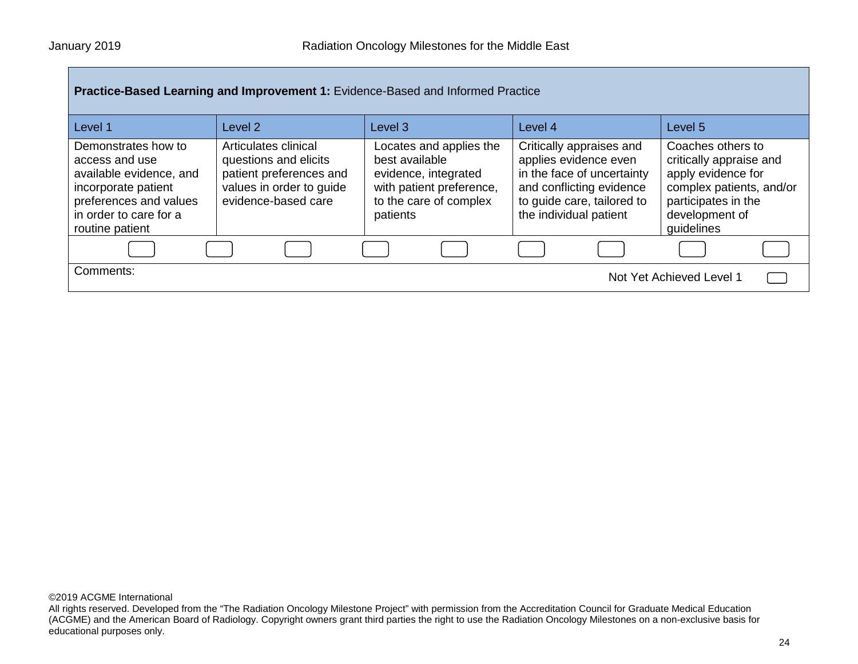| Practice-Based Learning and Improvement 1: Evidence-Based and Informed Practice                                                                                |                                                                                                                             |                                                                                                                                     |                                                                                                                                                                     |                                                                                                                                                       |
|----------------------------------------------------------------------------------------------------------------------------------------------------------------|-----------------------------------------------------------------------------------------------------------------------------|-------------------------------------------------------------------------------------------------------------------------------------|---------------------------------------------------------------------------------------------------------------------------------------------------------------------|-------------------------------------------------------------------------------------------------------------------------------------------------------|
| Level 1                                                                                                                                                        | Level 2                                                                                                                     | Level 3                                                                                                                             | Level 4                                                                                                                                                             | Level 5                                                                                                                                               |
| Demonstrates how to<br>access and use<br>available evidence, and<br>incorporate patient<br>preferences and values<br>in order to care for a<br>routine patient | Articulates clinical<br>questions and elicits<br>patient preferences and<br>values in order to guide<br>evidence-based care | Locates and applies the<br>best available<br>evidence, integrated<br>with patient preference,<br>to the care of complex<br>patients | Critically appraises and<br>applies evidence even<br>in the face of uncertainty<br>and conflicting evidence<br>to guide care, tailored to<br>the individual patient | Coaches others to<br>critically appraise and<br>apply evidence for<br>complex patients, and/or<br>participates in the<br>development of<br>guidelines |
|                                                                                                                                                                |                                                                                                                             |                                                                                                                                     |                                                                                                                                                                     |                                                                                                                                                       |
| Comments:                                                                                                                                                      |                                                                                                                             |                                                                                                                                     |                                                                                                                                                                     | Not Yet Achieved Level 1                                                                                                                              |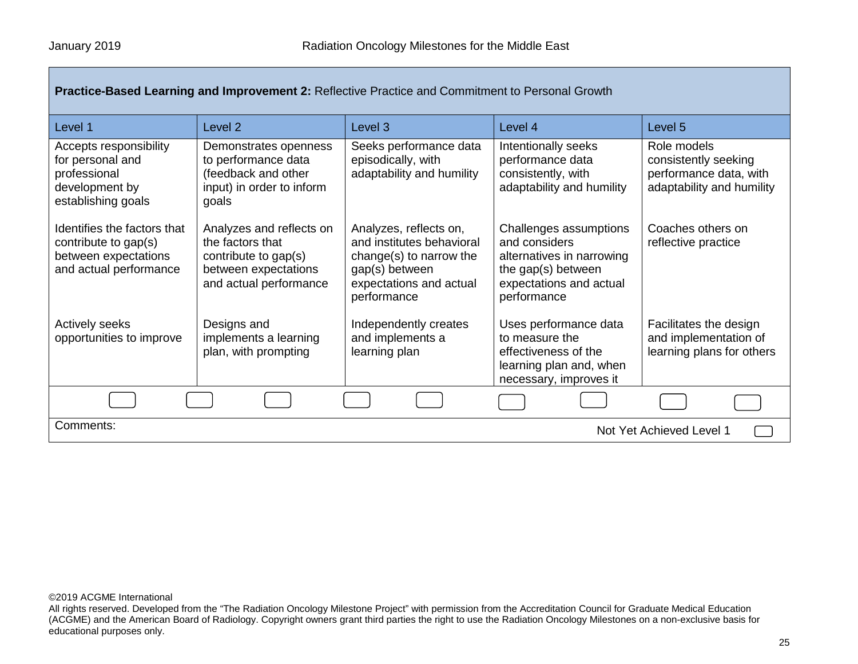| Practice-Based Learning and Improvement 2: Reflective Practice and Commitment to Personal Growth      |                                                                                                                        |                                                                                                                                            |                                                                                                                                      |                                                                                            |
|-------------------------------------------------------------------------------------------------------|------------------------------------------------------------------------------------------------------------------------|--------------------------------------------------------------------------------------------------------------------------------------------|--------------------------------------------------------------------------------------------------------------------------------------|--------------------------------------------------------------------------------------------|
| Level 1                                                                                               | Level <sub>2</sub>                                                                                                     | Level 3                                                                                                                                    | Level 4                                                                                                                              | Level 5                                                                                    |
| Accepts responsibility<br>for personal and<br>professional<br>development by<br>establishing goals    | Demonstrates openness<br>to performance data<br>(feedback and other<br>input) in order to inform<br>goals              | Seeks performance data<br>episodically, with<br>adaptability and humility                                                                  | Intentionally seeks<br>performance data<br>consistently, with<br>adaptability and humility                                           | Role models<br>consistently seeking<br>performance data, with<br>adaptability and humility |
| Identifies the factors that<br>contribute to gap(s)<br>between expectations<br>and actual performance | Analyzes and reflects on<br>the factors that<br>contribute to gap(s)<br>between expectations<br>and actual performance | Analyzes, reflects on,<br>and institutes behavioral<br>change(s) to narrow the<br>gap(s) between<br>expectations and actual<br>performance | Challenges assumptions<br>and considers<br>alternatives in narrowing<br>the gap(s) between<br>expectations and actual<br>performance | Coaches others on<br>reflective practice                                                   |
| <b>Actively seeks</b><br>opportunities to improve                                                     | Designs and<br>implements a learning<br>plan, with prompting                                                           | Independently creates<br>and implements a<br>learning plan                                                                                 | Uses performance data<br>to measure the<br>effectiveness of the<br>learning plan and, when<br>necessary, improves it                 | Facilitates the design<br>and implementation of<br>learning plans for others               |
|                                                                                                       |                                                                                                                        |                                                                                                                                            |                                                                                                                                      |                                                                                            |
| Comments:<br>Not Yet Achieved Level 1                                                                 |                                                                                                                        |                                                                                                                                            |                                                                                                                                      |                                                                                            |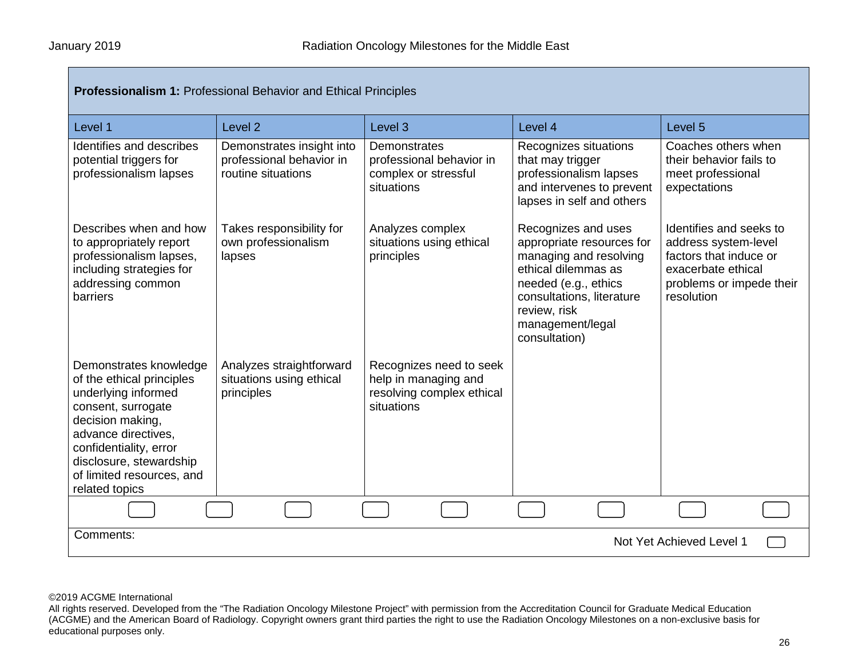| <b>Professionalism 1: Professional Behavior and Ethical Principles</b>                                                                                                                                                                          |                                                                             |                                                                                            |                                                                                                                                                                                                             |                                                                                                                                           |
|-------------------------------------------------------------------------------------------------------------------------------------------------------------------------------------------------------------------------------------------------|-----------------------------------------------------------------------------|--------------------------------------------------------------------------------------------|-------------------------------------------------------------------------------------------------------------------------------------------------------------------------------------------------------------|-------------------------------------------------------------------------------------------------------------------------------------------|
| Level 1                                                                                                                                                                                                                                         | Level <sub>2</sub>                                                          | Level <sub>3</sub>                                                                         | Level 4                                                                                                                                                                                                     | Level <sub>5</sub>                                                                                                                        |
| Identifies and describes<br>potential triggers for<br>professionalism lapses                                                                                                                                                                    | Demonstrates insight into<br>professional behavior in<br>routine situations | Demonstrates<br>professional behavior in<br>complex or stressful<br>situations             | Recognizes situations<br>that may trigger<br>professionalism lapses<br>and intervenes to prevent<br>lapses in self and others                                                                               | Coaches others when<br>their behavior fails to<br>meet professional<br>expectations                                                       |
| Describes when and how<br>to appropriately report<br>professionalism lapses,<br>including strategies for<br>addressing common<br>barriers                                                                                                       | Takes responsibility for<br>own professionalism<br>lapses                   | Analyzes complex<br>situations using ethical<br>principles                                 | Recognizes and uses<br>appropriate resources for<br>managing and resolving<br>ethical dilemmas as<br>needed (e.g., ethics<br>consultations, literature<br>review, risk<br>management/legal<br>consultation) | Identifies and seeks to<br>address system-level<br>factors that induce or<br>exacerbate ethical<br>problems or impede their<br>resolution |
| Demonstrates knowledge<br>of the ethical principles<br>underlying informed<br>consent, surrogate<br>decision making,<br>advance directives,<br>confidentiality, error<br>disclosure, stewardship<br>of limited resources, and<br>related topics | Analyzes straightforward<br>situations using ethical<br>principles          | Recognizes need to seek<br>help in managing and<br>resolving complex ethical<br>situations |                                                                                                                                                                                                             |                                                                                                                                           |
|                                                                                                                                                                                                                                                 |                                                                             |                                                                                            |                                                                                                                                                                                                             |                                                                                                                                           |
| Comments:<br>Not Yet Achieved Level 1                                                                                                                                                                                                           |                                                                             |                                                                                            |                                                                                                                                                                                                             |                                                                                                                                           |

All rights reserved. Developed from the "The Radiation Oncology Milestone Project" with permission from the Accreditation Council for Graduate Medical Education (ACGME) and the American Board of Radiology. Copyright owners grant third parties the right to use the Radiation Oncology Milestones on a non-exclusive basis for educational purposes only.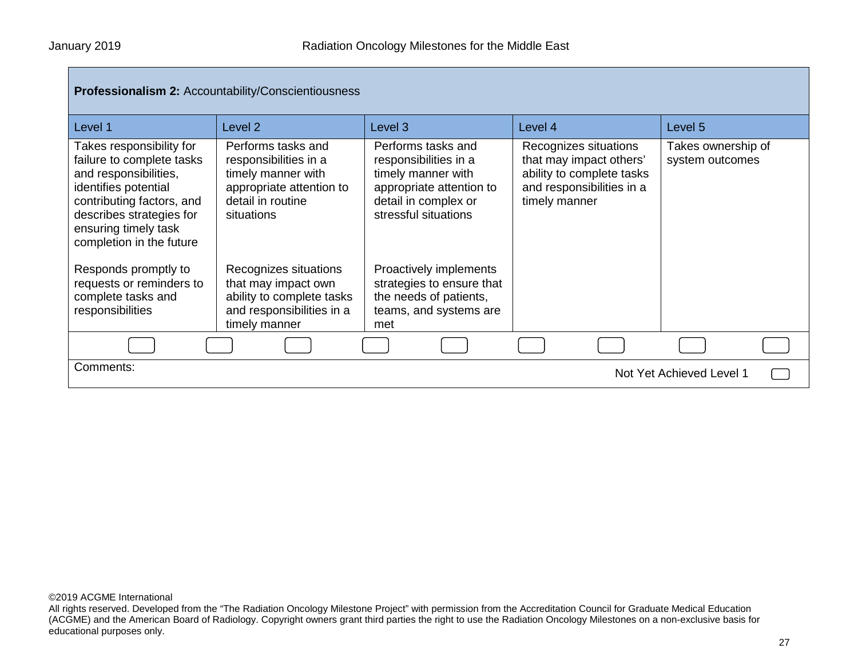| <b>Professionalism 2: Accountability/Conscientiousness</b>                                                                                                                                                          |                                                                                                                                  |                                                                                                                                               |                                                                                                                             |                                       |
|---------------------------------------------------------------------------------------------------------------------------------------------------------------------------------------------------------------------|----------------------------------------------------------------------------------------------------------------------------------|-----------------------------------------------------------------------------------------------------------------------------------------------|-----------------------------------------------------------------------------------------------------------------------------|---------------------------------------|
| Level 1                                                                                                                                                                                                             | Level 2                                                                                                                          | Level 3                                                                                                                                       | Level 4                                                                                                                     | Level 5                               |
| Takes responsibility for<br>failure to complete tasks<br>and responsibilities,<br>identifies potential<br>contributing factors, and<br>describes strategies for<br>ensuring timely task<br>completion in the future | Performs tasks and<br>responsibilities in a<br>timely manner with<br>appropriate attention to<br>detail in routine<br>situations | Performs tasks and<br>responsibilities in a<br>timely manner with<br>appropriate attention to<br>detail in complex or<br>stressful situations | Recognizes situations<br>that may impact others'<br>ability to complete tasks<br>and responsibilities in a<br>timely manner | Takes ownership of<br>system outcomes |
| Responds promptly to<br>requests or reminders to<br>complete tasks and<br>responsibilities                                                                                                                          | Recognizes situations<br>that may impact own<br>ability to complete tasks<br>and responsibilities in a<br>timely manner          | Proactively implements<br>strategies to ensure that<br>the needs of patients,<br>teams, and systems are<br>met                                |                                                                                                                             |                                       |
|                                                                                                                                                                                                                     |                                                                                                                                  |                                                                                                                                               |                                                                                                                             |                                       |
| Comments:<br>Not Yet Achieved Level 1                                                                                                                                                                               |                                                                                                                                  |                                                                                                                                               |                                                                                                                             |                                       |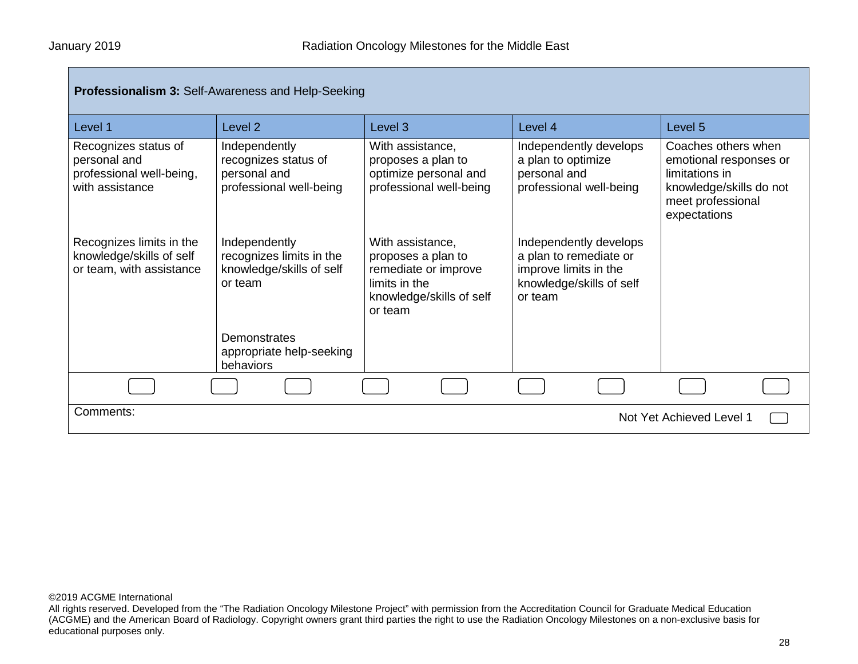| Professionalism 3: Self-Awareness and Help-Seeking                                  |                                                                                  |                                                                                                                        |                                                                                                                  |                                                                                                                                 |
|-------------------------------------------------------------------------------------|----------------------------------------------------------------------------------|------------------------------------------------------------------------------------------------------------------------|------------------------------------------------------------------------------------------------------------------|---------------------------------------------------------------------------------------------------------------------------------|
| Level 1                                                                             | Level 2                                                                          | Level 3                                                                                                                | Level 4                                                                                                          | Level 5                                                                                                                         |
| Recognizes status of<br>personal and<br>professional well-being,<br>with assistance | Independently<br>recognizes status of<br>personal and<br>professional well-being | With assistance,<br>proposes a plan to<br>optimize personal and<br>professional well-being                             | Independently develops<br>a plan to optimize<br>personal and<br>professional well-being                          | Coaches others when<br>emotional responses or<br>limitations in<br>knowledge/skills do not<br>meet professional<br>expectations |
| Recognizes limits in the<br>knowledge/skills of self<br>or team, with assistance    | Independently<br>recognizes limits in the<br>knowledge/skills of self<br>or team | With assistance,<br>proposes a plan to<br>remediate or improve<br>limits in the<br>knowledge/skills of self<br>or team | Independently develops<br>a plan to remediate or<br>improve limits in the<br>knowledge/skills of self<br>or team |                                                                                                                                 |
|                                                                                     | Demonstrates<br>appropriate help-seeking<br>behaviors                            |                                                                                                                        |                                                                                                                  |                                                                                                                                 |
|                                                                                     |                                                                                  |                                                                                                                        |                                                                                                                  |                                                                                                                                 |
| Comments:<br>Not Yet Achieved Level 1                                               |                                                                                  |                                                                                                                        |                                                                                                                  |                                                                                                                                 |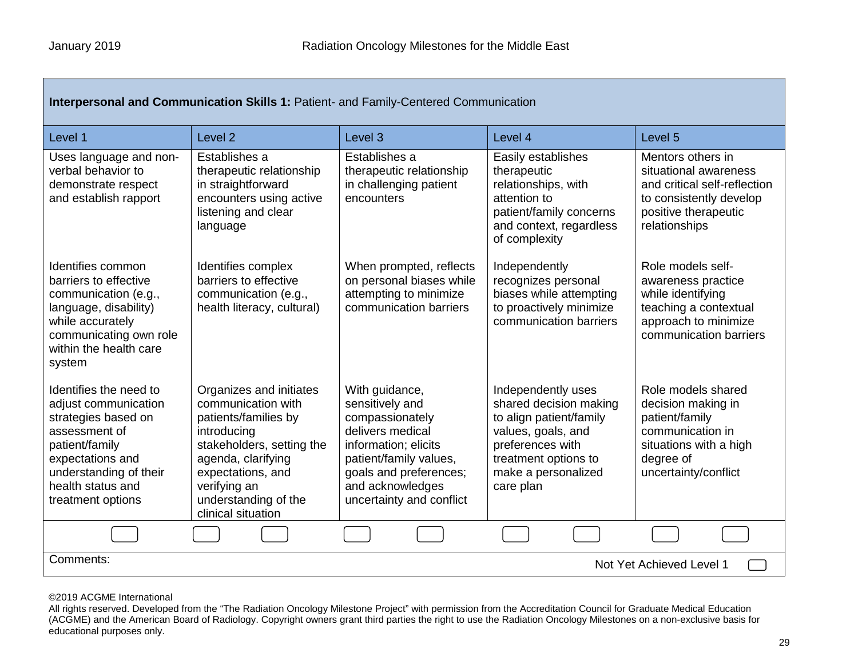Г

| Interpersonal and Communication Skills 1: Patient- and Family-Centered Communication                                                                                                             |                                                                                                                                                                                                                            |                                                                                                                                                                                                      |                                                                                                                                                                               |                                                                                                                                                |  |  |  |
|--------------------------------------------------------------------------------------------------------------------------------------------------------------------------------------------------|----------------------------------------------------------------------------------------------------------------------------------------------------------------------------------------------------------------------------|------------------------------------------------------------------------------------------------------------------------------------------------------------------------------------------------------|-------------------------------------------------------------------------------------------------------------------------------------------------------------------------------|------------------------------------------------------------------------------------------------------------------------------------------------|--|--|--|
| Level 1                                                                                                                                                                                          | Level <sub>2</sub>                                                                                                                                                                                                         | Level <sub>3</sub>                                                                                                                                                                                   | Level 4                                                                                                                                                                       | Level 5                                                                                                                                        |  |  |  |
| Uses language and non-<br>verbal behavior to<br>demonstrate respect<br>and establish rapport                                                                                                     | Establishes a<br>therapeutic relationship<br>in straightforward<br>encounters using active<br>listening and clear<br>language                                                                                              | Establishes a<br>therapeutic relationship<br>in challenging patient<br>encounters                                                                                                                    | Easily establishes<br>therapeutic<br>relationships, with<br>attention to<br>patient/family concerns<br>and context, regardless<br>of complexity                               | Mentors others in<br>situational awareness<br>and critical self-reflection<br>to consistently develop<br>positive therapeutic<br>relationships |  |  |  |
| Identifies common<br>barriers to effective<br>communication (e.g.,<br>language, disability)<br>while accurately<br>communicating own role<br>within the health care<br>system                    | Identifies complex<br>barriers to effective<br>communication (e.g.,<br>health literacy, cultural)                                                                                                                          | When prompted, reflects<br>on personal biases while<br>attempting to minimize<br>communication barriers                                                                                              | Independently<br>recognizes personal<br>biases while attempting<br>to proactively minimize<br>communication barriers                                                          | Role models self-<br>awareness practice<br>while identifying<br>teaching a contextual<br>approach to minimize<br>communication barriers        |  |  |  |
| Identifies the need to<br>adjust communication<br>strategies based on<br>assessment of<br>patient/family<br>expectations and<br>understanding of their<br>health status and<br>treatment options | Organizes and initiates<br>communication with<br>patients/families by<br>introducing<br>stakeholders, setting the<br>agenda, clarifying<br>expectations, and<br>verifying an<br>understanding of the<br>clinical situation | With guidance,<br>sensitively and<br>compassionately<br>delivers medical<br>information; elicits<br>patient/family values,<br>goals and preferences;<br>and acknowledges<br>uncertainty and conflict | Independently uses<br>shared decision making<br>to align patient/family<br>values, goals, and<br>preferences with<br>treatment options to<br>make a personalized<br>care plan | Role models shared<br>decision making in<br>patient/family<br>communication in<br>situations with a high<br>degree of<br>uncertainty/conflict  |  |  |  |
|                                                                                                                                                                                                  |                                                                                                                                                                                                                            |                                                                                                                                                                                                      |                                                                                                                                                                               |                                                                                                                                                |  |  |  |
| Comments:<br>Not Yet Achieved Level 1                                                                                                                                                            |                                                                                                                                                                                                                            |                                                                                                                                                                                                      |                                                                                                                                                                               |                                                                                                                                                |  |  |  |

©2019 ACGME International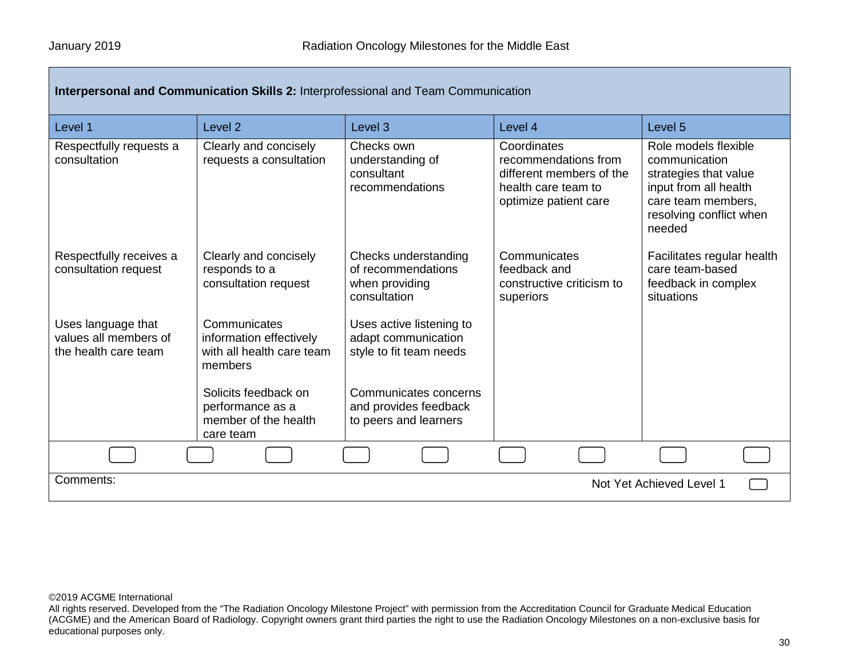| Interpersonal and Communication Skills 2: Interprofessional and Team Communication |                                                                                 |                                                                              |                                                                                                                 |                                                                                                                                                    |  |  |
|------------------------------------------------------------------------------------|---------------------------------------------------------------------------------|------------------------------------------------------------------------------|-----------------------------------------------------------------------------------------------------------------|----------------------------------------------------------------------------------------------------------------------------------------------------|--|--|
| Level 1                                                                            | Level <sub>2</sub>                                                              | Level <sub>3</sub>                                                           | Level 4                                                                                                         | Level <sub>5</sub>                                                                                                                                 |  |  |
| Respectfully requests a<br>consultation                                            | Clearly and concisely<br>requests a consultation                                | Checks own<br>understanding of<br>consultant<br>recommendations              | Coordinates<br>recommendations from<br>different members of the<br>health care team to<br>optimize patient care | Role models flexible<br>communication<br>strategies that value<br>input from all health<br>care team members,<br>resolving conflict when<br>needed |  |  |
| Respectfully receives a<br>consultation request                                    | Clearly and concisely<br>responds to a<br>consultation request                  | Checks understanding<br>of recommendations<br>when providing<br>consultation | Communicates<br>feedback and<br>constructive criticism to<br>superiors                                          | Facilitates regular health<br>care team-based<br>feedback in complex<br>situations                                                                 |  |  |
| Uses language that<br>values all members of<br>the health care team                | Communicates<br>information effectively<br>with all health care team<br>members | Uses active listening to<br>adapt communication<br>style to fit team needs   |                                                                                                                 |                                                                                                                                                    |  |  |
|                                                                                    | Solicits feedback on<br>performance as a<br>member of the health<br>care team   | Communicates concerns<br>and provides feedback<br>to peers and learners      |                                                                                                                 |                                                                                                                                                    |  |  |
|                                                                                    |                                                                                 |                                                                              |                                                                                                                 |                                                                                                                                                    |  |  |
| Comments:<br>Not Yet Achieved Level 1                                              |                                                                                 |                                                                              |                                                                                                                 |                                                                                                                                                    |  |  |